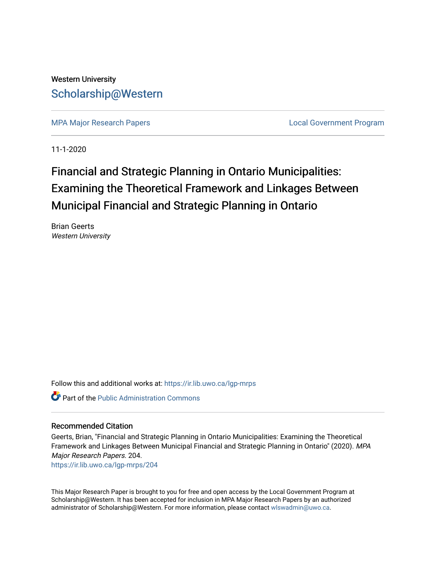# Western University [Scholarship@Western](https://ir.lib.uwo.ca/)

[MPA Major Research Papers](https://ir.lib.uwo.ca/lgp-mrps) **Local Government Program** 

11-1-2020

# Financial and Strategic Planning in Ontario Municipalities: Examining the Theoretical Framework and Linkages Between Municipal Financial and Strategic Planning in Ontario

Brian Geerts Western University

Follow this and additional works at: [https://ir.lib.uwo.ca/lgp-mrps](https://ir.lib.uwo.ca/lgp-mrps?utm_source=ir.lib.uwo.ca%2Flgp-mrps%2F204&utm_medium=PDF&utm_campaign=PDFCoverPages) 

**C** Part of the [Public Administration Commons](http://network.bepress.com/hgg/discipline/398?utm_source=ir.lib.uwo.ca%2Flgp-mrps%2F204&utm_medium=PDF&utm_campaign=PDFCoverPages)

#### Recommended Citation

Geerts, Brian, "Financial and Strategic Planning in Ontario Municipalities: Examining the Theoretical Framework and Linkages Between Municipal Financial and Strategic Planning in Ontario" (2020). MPA Major Research Papers. 204.

[https://ir.lib.uwo.ca/lgp-mrps/204](https://ir.lib.uwo.ca/lgp-mrps/204?utm_source=ir.lib.uwo.ca%2Flgp-mrps%2F204&utm_medium=PDF&utm_campaign=PDFCoverPages) 

This Major Research Paper is brought to you for free and open access by the Local Government Program at Scholarship@Western. It has been accepted for inclusion in MPA Major Research Papers by an authorized administrator of Scholarship@Western. For more information, please contact [wlswadmin@uwo.ca](mailto:wlswadmin@uwo.ca).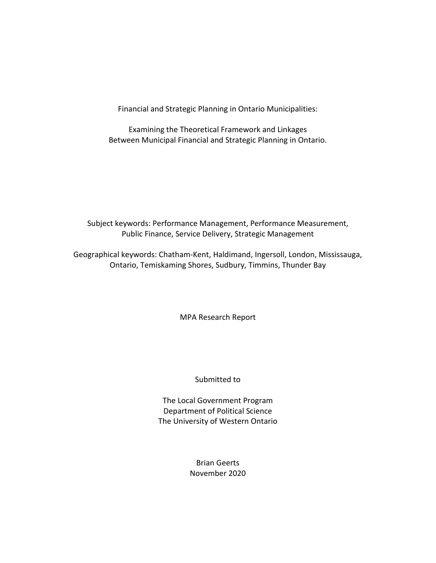Financial and Strategic Planning in Ontario Municipalities:

Examining the Theoretical Framework and Linkages Between Municipal Financial and Strategic Planning in Ontario.

Subject keywords: Performance Management, Performance Measurement, Public Finance, Service Delivery, Strategic Management

Geographical keywords: Chatham-Kent, Haldimand, Ingersoll, London, Mississauga, Ontario, Temiskaming Shores, Sudbury, Timmins, Thunder Bay

MPA Research Report

Submitted to

The Local Government Program Department of Political Science The University of Western Ontario

> Brian Geerts November 2020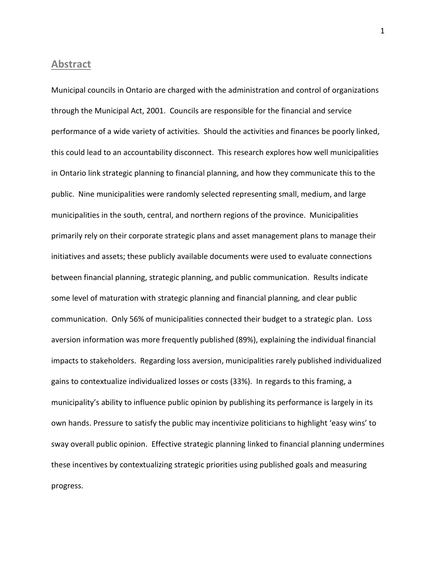#### <span id="page-2-0"></span>**Abstract**

Municipal councils in Ontario are charged with the administration and control of organizations through the Municipal Act, 2001. Councils are responsible for the financial and service performance of a wide variety of activities. Should the activities and finances be poorly linked, this could lead to an accountability disconnect. This research explores how well municipalities in Ontario link strategic planning to financial planning, and how they communicate this to the public. Nine municipalities were randomly selected representing small, medium, and large municipalities in the south, central, and northern regions of the province. Municipalities primarily rely on their corporate strategic plans and asset management plans to manage their initiatives and assets; these publicly available documents were used to evaluate connections between financial planning, strategic planning, and public communication. Results indicate some level of maturation with strategic planning and financial planning, and clear public communication. Only 56% of municipalities connected their budget to a strategic plan. Loss aversion information was more frequently published (89%), explaining the individual financial impacts to stakeholders. Regarding loss aversion, municipalities rarely published individualized gains to contextualize individualized losses or costs (33%). In regards to this framing, a municipality's ability to influence public opinion by publishing its performance is largely in its own hands. Pressure to satisfy the public may incentivize politicians to highlight 'easy wins' to sway overall public opinion. Effective strategic planning linked to financial planning undermines these incentives by contextualizing strategic priorities using published goals and measuring progress.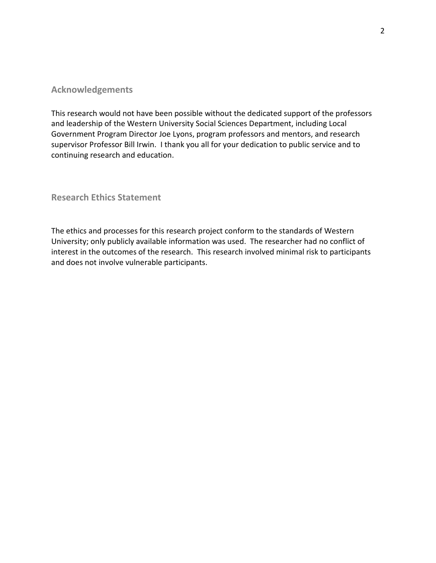#### <span id="page-3-0"></span>**Acknowledgements**

This research would not have been possible without the dedicated support of the professors and leadership of the Western University Social Sciences Department, including Local Government Program Director Joe Lyons, program professors and mentors, and research supervisor Professor Bill Irwin. I thank you all for your dedication to public service and to continuing research and education.

<span id="page-3-1"></span>**Research Ethics Statement**

The ethics and processes for this research project conform to the standards of Western University; only publicly available information was used. The researcher had no conflict of interest in the outcomes of the research. This research involved minimal risk to participants and does not involve vulnerable participants.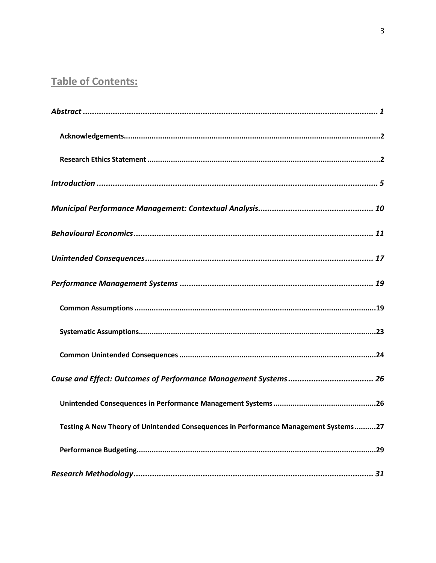# **Table of Contents:**

| Testing A New Theory of Unintended Consequences in Performance Management Systems27 |
|-------------------------------------------------------------------------------------|
|                                                                                     |
|                                                                                     |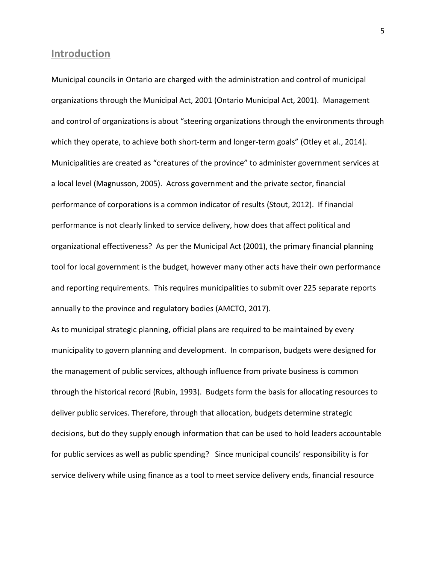#### <span id="page-6-0"></span>**Introduction**

Municipal councils in Ontario are charged with the administration and control of municipal organizations through the Municipal Act, 2001 (Ontario Municipal Act, 2001). Management and control of organizations is about "steering organizations through the environments through which they operate, to achieve both short-term and longer-term goals" (Otley et al., 2014). Municipalities are created as "creatures of the province" to administer government services at a local level (Magnusson, 2005). Across government and the private sector, financial performance of corporations is a common indicator of results (Stout, 2012). If financial performance is not clearly linked to service delivery, how does that affect political and organizational effectiveness? As per the Municipal Act (2001), the primary financial planning tool for local government is the budget, however many other acts have their own performance and reporting requirements. This requires municipalities to submit over 225 separate reports annually to the province and regulatory bodies (AMCTO, 2017).

As to municipal strategic planning, official plans are required to be maintained by every municipality to govern planning and development. In comparison, budgets were designed for the management of public services, although influence from private business is common through the historical record (Rubin, 1993). Budgets form the basis for allocating resources to deliver public services. Therefore, through that allocation, budgets determine strategic decisions, but do they supply enough information that can be used to hold leaders accountable for public services as well as public spending? Since municipal councils' responsibility is for service delivery while using finance as a tool to meet service delivery ends, financial resource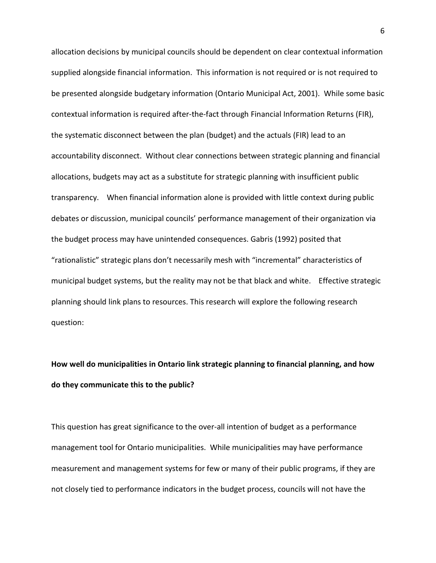allocation decisions by municipal councils should be dependent on clear contextual information supplied alongside financial information. This information is not required or is not required to be presented alongside budgetary information (Ontario Municipal Act, 2001). While some basic contextual information is required after-the-fact through Financial Information Returns (FIR), the systematic disconnect between the plan (budget) and the actuals (FIR) lead to an accountability disconnect. Without clear connections between strategic planning and financial allocations, budgets may act as a substitute for strategic planning with insufficient public transparency. When financial information alone is provided with little context during public debates or discussion, municipal councils' performance management of their organization via the budget process may have unintended consequences. Gabris (1992) posited that "rationalistic" strategic plans don't necessarily mesh with "incremental" characteristics of municipal budget systems, but the reality may not be that black and white. Effective strategic planning should link plans to resources. This research will explore the following research question:

# **How well do municipalities in Ontario link strategic planning to financial planning, and how do they communicate this to the public?**

This question has great significance to the over-all intention of budget as a performance management tool for Ontario municipalities. While municipalities may have performance measurement and management systems for few or many of their public programs, if they are not closely tied to performance indicators in the budget process, councils will not have the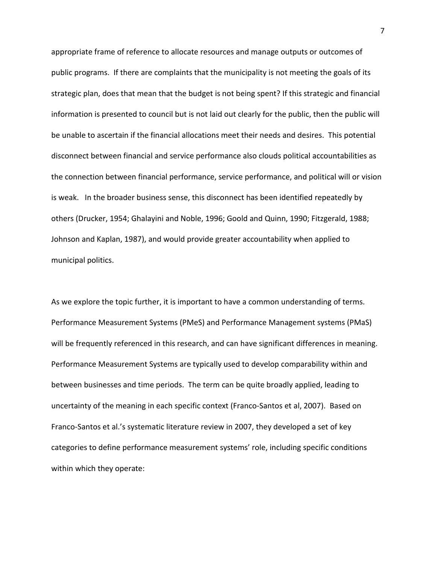appropriate frame of reference to allocate resources and manage outputs or outcomes of public programs. If there are complaints that the municipality is not meeting the goals of its strategic plan, does that mean that the budget is not being spent? If this strategic and financial information is presented to council but is not laid out clearly for the public, then the public will be unable to ascertain if the financial allocations meet their needs and desires. This potential disconnect between financial and service performance also clouds political accountabilities as the connection between financial performance, service performance, and political will or vision is weak. In the broader business sense, this disconnect has been identified repeatedly by others (Drucker, 1954; Ghalayini and Noble, 1996; Goold and Quinn, 1990; Fitzgerald, 1988; Johnson and Kaplan, 1987), and would provide greater accountability when applied to municipal politics.

As we explore the topic further, it is important to have a common understanding of terms. Performance Measurement Systems (PMeS) and Performance Management systems (PMaS) will be frequently referenced in this research, and can have significant differences in meaning. Performance Measurement Systems are typically used to develop comparability within and between businesses and time periods. The term can be quite broadly applied, leading to uncertainty of the meaning in each specific context (Franco-Santos et al, 2007). Based on Franco-Santos et al.'s systematic literature review in 2007, they developed a set of key categories to define performance measurement systems' role, including specific conditions within which they operate: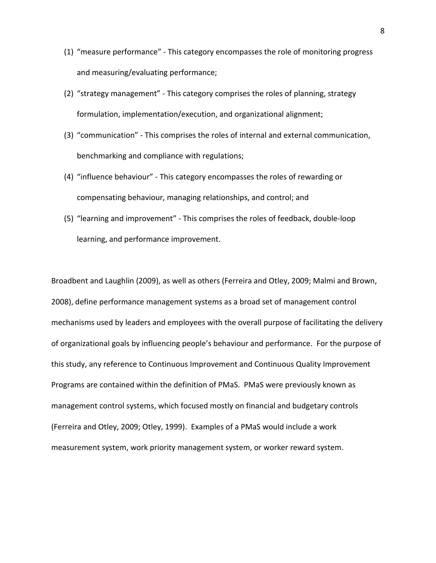- (1) "measure performance" This category encompasses the role of monitoring progress and measuring/evaluating performance;
- (2) "strategy management" This category comprises the roles of planning, strategy formulation, implementation/execution, and organizational alignment;
- (3) "communication" This comprises the roles of internal and external communication, benchmarking and compliance with regulations;
- (4) "influence behaviour" This category encompasses the roles of rewarding or compensating behaviour, managing relationships, and control; and
- (5) "learning and improvement" This comprises the roles of feedback, double-loop learning, and performance improvement.

Broadbent and Laughlin (2009), as well as others (Ferreira and Otley, 2009; Malmi and Brown, 2008), define performance management systems as a broad set of management control mechanisms used by leaders and employees with the overall purpose of facilitating the delivery of organizational goals by influencing people's behaviour and performance. For the purpose of this study, any reference to Continuous Improvement and Continuous Quality Improvement Programs are contained within the definition of PMaS. PMaS were previously known as management control systems, which focused mostly on financial and budgetary controls (Ferreira and Otley, 2009; Otley, 1999). Examples of a PMaS would include a work measurement system, work priority management system, or worker reward system.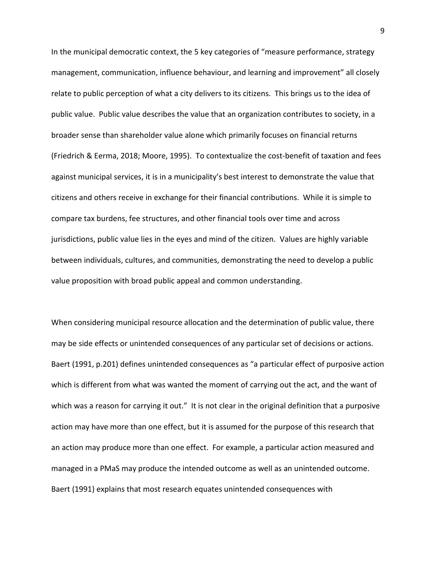In the municipal democratic context, the 5 key categories of "measure performance, strategy management, communication, influence behaviour, and learning and improvement" all closely relate to public perception of what a city delivers to its citizens. This brings us to the idea of public value. Public value describes the value that an organization contributes to society, in a broader sense than shareholder value alone which primarily focuses on financial returns (Friedrich & Eerma, 2018; Moore, 1995). To contextualize the cost-benefit of taxation and fees against municipal services, it is in a municipality's best interest to demonstrate the value that citizens and others receive in exchange for their financial contributions. While it is simple to compare tax burdens, fee structures, and other financial tools over time and across jurisdictions, public value lies in the eyes and mind of the citizen. Values are highly variable between individuals, cultures, and communities, demonstrating the need to develop a public value proposition with broad public appeal and common understanding.

When considering municipal resource allocation and the determination of public value, there may be side effects or unintended consequences of any particular set of decisions or actions. Baert (1991, p.201) defines unintended consequences as "a particular effect of purposive action which is different from what was wanted the moment of carrying out the act, and the want of which was a reason for carrying it out." It is not clear in the original definition that a purposive action may have more than one effect, but it is assumed for the purpose of this research that an action may produce more than one effect. For example, a particular action measured and managed in a PMaS may produce the intended outcome as well as an unintended outcome. Baert (1991) explains that most research equates unintended consequences with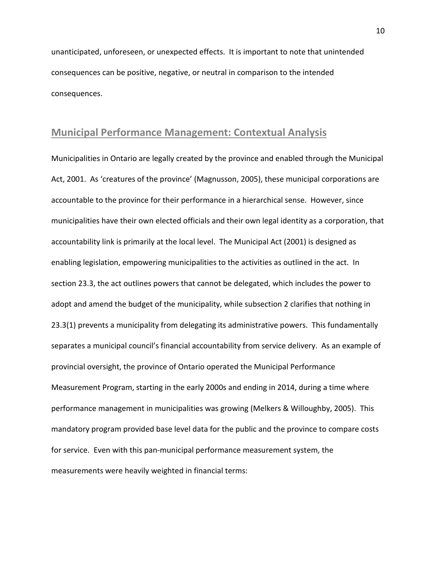unanticipated, unforeseen, or unexpected effects. It is important to note that unintended consequences can be positive, negative, or neutral in comparison to the intended consequences.

## <span id="page-11-0"></span>**Municipal Performance Management: Contextual Analysis**

Municipalities in Ontario are legally created by the province and enabled through the Municipal Act, 2001. As 'creatures of the province' (Magnusson, 2005), these municipal corporations are accountable to the province for their performance in a hierarchical sense. However, since municipalities have their own elected officials and their own legal identity as a corporation, that accountability link is primarily at the local level. The Municipal Act (2001) is designed as enabling legislation, empowering municipalities to the activities as outlined in the act. In section 23.3, the act outlines powers that cannot be delegated, which includes the power to adopt and amend the budget of the municipality, while subsection 2 clarifies that nothing in 23.3(1) prevents a municipality from delegating its administrative powers. This fundamentally separates a municipal council's financial accountability from service delivery. As an example of provincial oversight, the province of Ontario operated the Municipal Performance Measurement Program, starting in the early 2000s and ending in 2014, during a time where performance management in municipalities was growing (Melkers & Willoughby, 2005). This mandatory program provided base level data for the public and the province to compare costs for service. Even with this pan-municipal performance measurement system, the measurements were heavily weighted in financial terms: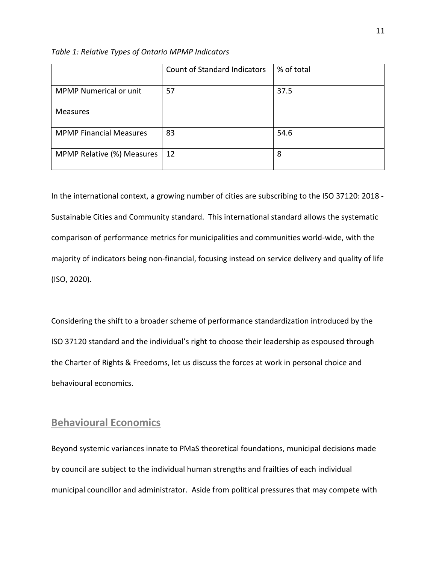*Table 1: Relative Types of Ontario MPMP Indicators*

|                                | <b>Count of Standard Indicators</b> | % of total |
|--------------------------------|-------------------------------------|------------|
| <b>MPMP Numerical or unit</b>  | 57                                  | 37.5       |
| <b>Measures</b>                |                                     |            |
| <b>MPMP Financial Measures</b> | 83                                  | 54.6       |
| MPMP Relative (%) Measures     | 12                                  | 8          |

In the international context, a growing number of cities are subscribing to the ISO 37120: 2018 - Sustainable Cities and Community standard. This international standard allows the systematic comparison of performance metrics for municipalities and communities world-wide, with the majority of indicators being non-financial, focusing instead on service delivery and quality of life (ISO, 2020).

Considering the shift to a broader scheme of performance standardization introduced by the ISO 37120 standard and the individual's right to choose their leadership as espoused through the Charter of Rights & Freedoms, let us discuss the forces at work in personal choice and behavioural economics.

#### <span id="page-12-0"></span>**Behavioural Economics**

Beyond systemic variances innate to PMaS theoretical foundations, municipal decisions made by council are subject to the individual human strengths and frailties of each individual municipal councillor and administrator. Aside from political pressures that may compete with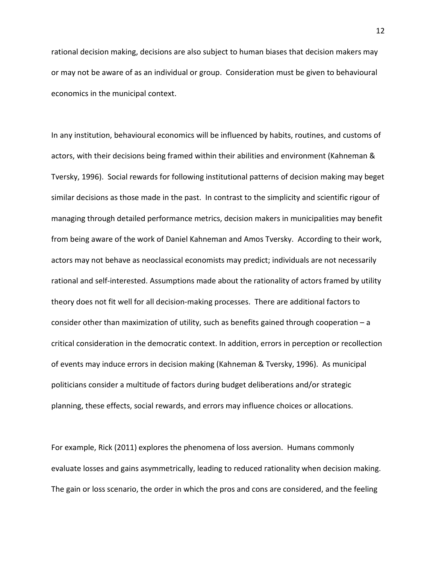rational decision making, decisions are also subject to human biases that decision makers may or may not be aware of as an individual or group. Consideration must be given to behavioural economics in the municipal context.

In any institution, behavioural economics will be influenced by habits, routines, and customs of actors, with their decisions being framed within their abilities and environment (Kahneman & Tversky, 1996). Social rewards for following institutional patterns of decision making may beget similar decisions as those made in the past. In contrast to the simplicity and scientific rigour of managing through detailed performance metrics, decision makers in municipalities may benefit from being aware of the work of Daniel Kahneman and Amos Tversky. According to their work, actors may not behave as neoclassical economists may predict; individuals are not necessarily rational and self-interested. Assumptions made about the rationality of actors framed by utility theory does not fit well for all decision-making processes. There are additional factors to consider other than maximization of utility, such as benefits gained through cooperation – a critical consideration in the democratic context. In addition, errors in perception or recollection of events may induce errors in decision making (Kahneman & Tversky, 1996). As municipal politicians consider a multitude of factors during budget deliberations and/or strategic planning, these effects, social rewards, and errors may influence choices or allocations.

For example, Rick (2011) explores the phenomena of loss aversion. Humans commonly evaluate losses and gains asymmetrically, leading to reduced rationality when decision making. The gain or loss scenario, the order in which the pros and cons are considered, and the feeling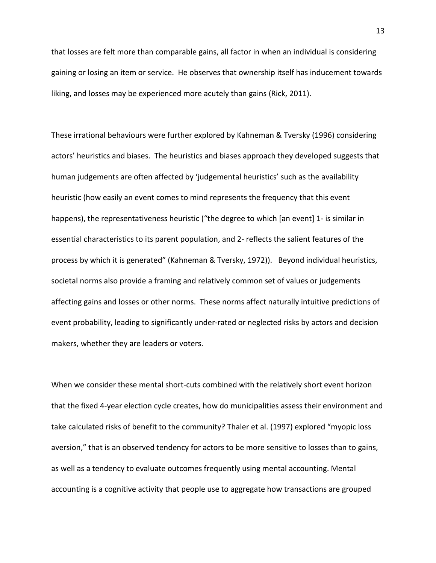that losses are felt more than comparable gains, all factor in when an individual is considering gaining or losing an item or service. He observes that ownership itself has inducement towards liking, and losses may be experienced more acutely than gains (Rick, 2011).

These irrational behaviours were further explored by Kahneman & Tversky (1996) considering actors' heuristics and biases. The heuristics and biases approach they developed suggests that human judgements are often affected by 'judgemental heuristics' such as the availability heuristic (how easily an event comes to mind represents the frequency that this event happens), the representativeness heuristic ("the degree to which [an event] 1- is similar in essential characteristics to its parent population, and 2- reflects the salient features of the process by which it is generated" (Kahneman & Tversky, 1972)). Beyond individual heuristics, societal norms also provide a framing and relatively common set of values or judgements affecting gains and losses or other norms. These norms affect naturally intuitive predictions of event probability, leading to significantly under-rated or neglected risks by actors and decision makers, whether they are leaders or voters.

When we consider these mental short-cuts combined with the relatively short event horizon that the fixed 4-year election cycle creates, how do municipalities assess their environment and take calculated risks of benefit to the community? Thaler et al. (1997) explored "myopic loss aversion," that is an observed tendency for actors to be more sensitive to losses than to gains, as well as a tendency to evaluate outcomes frequently using mental accounting. Mental accounting is a cognitive activity that people use to aggregate how transactions are grouped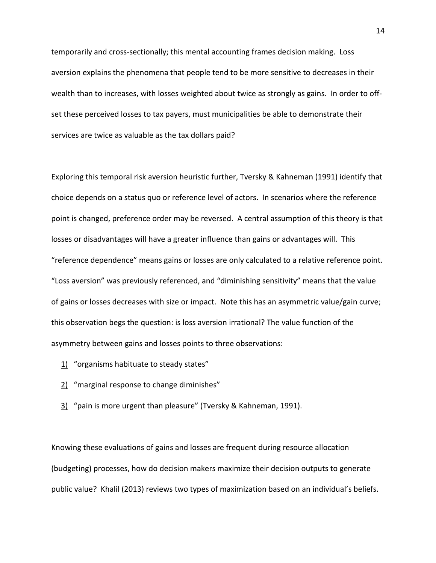temporarily and cross-sectionally; this mental accounting frames decision making. Loss aversion explains the phenomena that people tend to be more sensitive to decreases in their wealth than to increases, with losses weighted about twice as strongly as gains. In order to offset these perceived losses to tax payers, must municipalities be able to demonstrate their services are twice as valuable as the tax dollars paid?

Exploring this temporal risk aversion heuristic further, Tversky & Kahneman (1991) identify that choice depends on a status quo or reference level of actors. In scenarios where the reference point is changed, preference order may be reversed. A central assumption of this theory is that losses or disadvantages will have a greater influence than gains or advantages will. This "reference dependence" means gains or losses are only calculated to a relative reference point. "Loss aversion" was previously referenced, and "diminishing sensitivity" means that the value of gains or losses decreases with size or impact. Note this has an asymmetric value/gain curve; this observation begs the question: is loss aversion irrational? The value function of the asymmetry between gains and losses points to three observations:

- 1) "organisms habituate to steady states"
- 2) "marginal response to change diminishes"
- 3) "pain is more urgent than pleasure" (Tversky & Kahneman, 1991).

Knowing these evaluations of gains and losses are frequent during resource allocation (budgeting) processes, how do decision makers maximize their decision outputs to generate public value? Khalil (2013) reviews two types of maximization based on an individual's beliefs.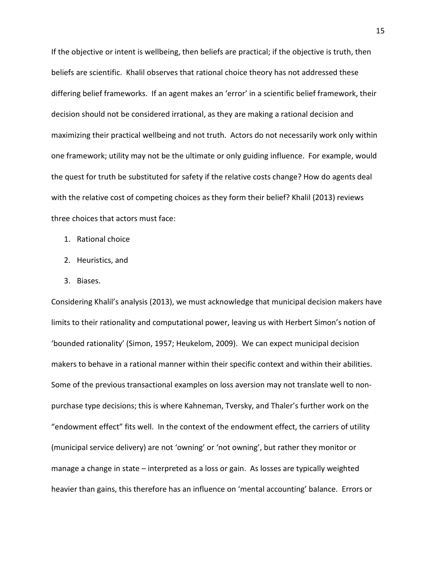If the objective or intent is wellbeing, then beliefs are practical; if the objective is truth, then beliefs are scientific. Khalil observes that rational choice theory has not addressed these differing belief frameworks. If an agent makes an 'error' in a scientific belief framework, their decision should not be considered irrational, as they are making a rational decision and maximizing their practical wellbeing and not truth. Actors do not necessarily work only within one framework; utility may not be the ultimate or only guiding influence. For example, would the quest for truth be substituted for safety if the relative costs change? How do agents deal with the relative cost of competing choices as they form their belief? Khalil (2013) reviews three choices that actors must face:

- 1. Rational choice
- 2. Heuristics, and
- 3. Biases.

Considering Khalil's analysis (2013), we must acknowledge that municipal decision makers have limits to their rationality and computational power, leaving us with Herbert Simon's notion of 'bounded rationality' (Simon, 1957; Heukelom, 2009). We can expect municipal decision makers to behave in a rational manner within their specific context and within their abilities. Some of the previous transactional examples on loss aversion may not translate well to nonpurchase type decisions; this is where Kahneman, Tversky, and Thaler's further work on the "endowment effect" fits well. In the context of the endowment effect, the carriers of utility (municipal service delivery) are not 'owning' or 'not owning', but rather they monitor or manage a change in state – interpreted as a loss or gain. As losses are typically weighted heavier than gains, this therefore has an influence on 'mental accounting' balance. Errors or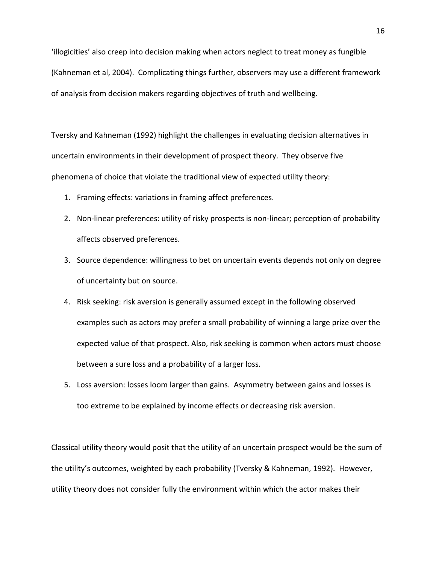'illogicities' also creep into decision making when actors neglect to treat money as fungible (Kahneman et al, 2004). Complicating things further, observers may use a different framework of analysis from decision makers regarding objectives of truth and wellbeing.

Tversky and Kahneman (1992) highlight the challenges in evaluating decision alternatives in uncertain environments in their development of prospect theory. They observe five phenomena of choice that violate the traditional view of expected utility theory:

- 1. Framing effects: variations in framing affect preferences.
- 2. Non-linear preferences: utility of risky prospects is non-linear; perception of probability affects observed preferences.
- 3. Source dependence: willingness to bet on uncertain events depends not only on degree of uncertainty but on source.
- 4. Risk seeking: risk aversion is generally assumed except in the following observed examples such as actors may prefer a small probability of winning a large prize over the expected value of that prospect. Also, risk seeking is common when actors must choose between a sure loss and a probability of a larger loss.
- 5. Loss aversion: losses loom larger than gains. Asymmetry between gains and losses is too extreme to be explained by income effects or decreasing risk aversion.

Classical utility theory would posit that the utility of an uncertain prospect would be the sum of the utility's outcomes, weighted by each probability (Tversky & Kahneman, 1992). However, utility theory does not consider fully the environment within which the actor makes their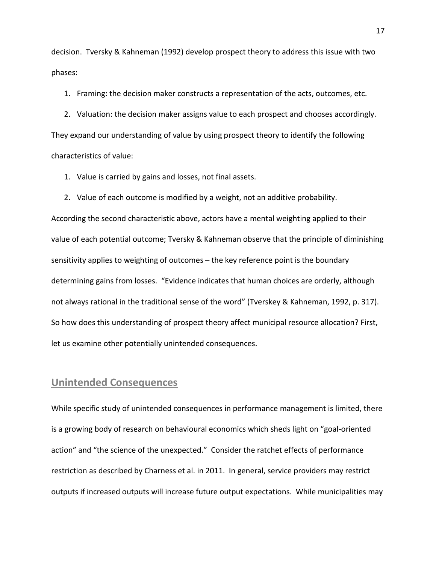decision. Tversky & Kahneman (1992) develop prospect theory to address this issue with two phases:

1. Framing: the decision maker constructs a representation of the acts, outcomes, etc.

2. Valuation: the decision maker assigns value to each prospect and chooses accordingly. They expand our understanding of value by using prospect theory to identify the following characteristics of value:

1. Value is carried by gains and losses, not final assets.

2. Value of each outcome is modified by a weight, not an additive probability.

According the second characteristic above, actors have a mental weighting applied to their value of each potential outcome; Tversky & Kahneman observe that the principle of diminishing sensitivity applies to weighting of outcomes – the key reference point is the boundary determining gains from losses. "Evidence indicates that human choices are orderly, although not always rational in the traditional sense of the word" (Tverskey & Kahneman, 1992, p. 317). So how does this understanding of prospect theory affect municipal resource allocation? First, let us examine other potentially unintended consequences.

## <span id="page-18-0"></span>**Unintended Consequences**

While specific study of unintended consequences in performance management is limited, there is a growing body of research on behavioural economics which sheds light on "goal-oriented action" and "the science of the unexpected." Consider the ratchet effects of performance restriction as described by Charness et al. in 2011. In general, service providers may restrict outputs if increased outputs will increase future output expectations. While municipalities may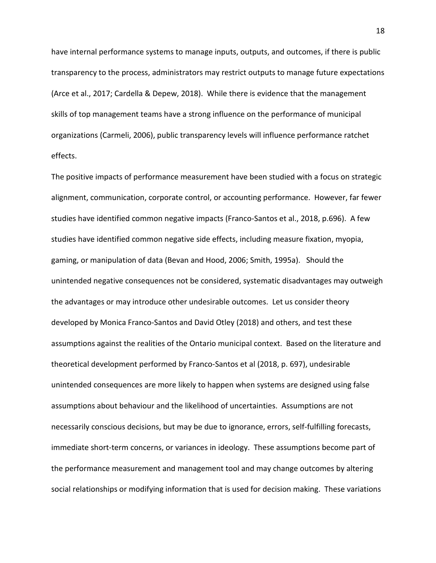have internal performance systems to manage inputs, outputs, and outcomes, if there is public transparency to the process, administrators may restrict outputs to manage future expectations (Arce et al., 2017; Cardella & Depew, 2018). While there is evidence that the management skills of top management teams have a strong influence on the performance of municipal organizations (Carmeli, 2006), public transparency levels will influence performance ratchet effects.

The positive impacts of performance measurement have been studied with a focus on strategic alignment, communication, corporate control, or accounting performance. However, far fewer studies have identified common negative impacts (Franco-Santos et al., 2018, p.696). A few studies have identified common negative side effects, including measure fixation, myopia, gaming, or manipulation of data (Bevan and Hood, 2006; Smith, 1995a). Should the unintended negative consequences not be considered, systematic disadvantages may outweigh the advantages or may introduce other undesirable outcomes. Let us consider theory developed by Monica Franco-Santos and David Otley (2018) and others, and test these assumptions against the realities of the Ontario municipal context. Based on the literature and theoretical development performed by Franco-Santos et al (2018, p. 697), undesirable unintended consequences are more likely to happen when systems are designed using false assumptions about behaviour and the likelihood of uncertainties. Assumptions are not necessarily conscious decisions, but may be due to ignorance, errors, self-fulfilling forecasts, immediate short-term concerns, or variances in ideology. These assumptions become part of the performance measurement and management tool and may change outcomes by altering social relationships or modifying information that is used for decision making. These variations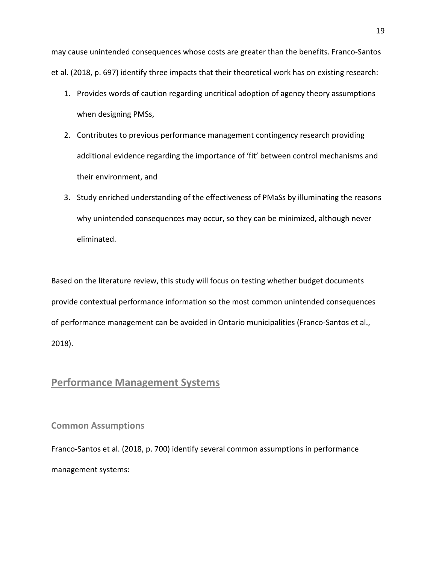may cause unintended consequences whose costs are greater than the benefits. Franco-Santos et al. (2018, p. 697) identify three impacts that their theoretical work has on existing research:

- 1. Provides words of caution regarding uncritical adoption of agency theory assumptions when designing PMSs,
- 2. Contributes to previous performance management contingency research providing additional evidence regarding the importance of 'fit' between control mechanisms and their environment, and
- 3. Study enriched understanding of the effectiveness of PMaSs by illuminating the reasons why unintended consequences may occur, so they can be minimized, although never eliminated.

Based on the literature review, this study will focus on testing whether budget documents provide contextual performance information so the most common unintended consequences of performance management can be avoided in Ontario municipalities (Franco-Santos et al., 2018).

# <span id="page-20-0"></span>**Performance Management Systems**

<span id="page-20-1"></span>**Common Assumptions**

Franco-Santos et al. (2018, p. 700) identify several common assumptions in performance management systems: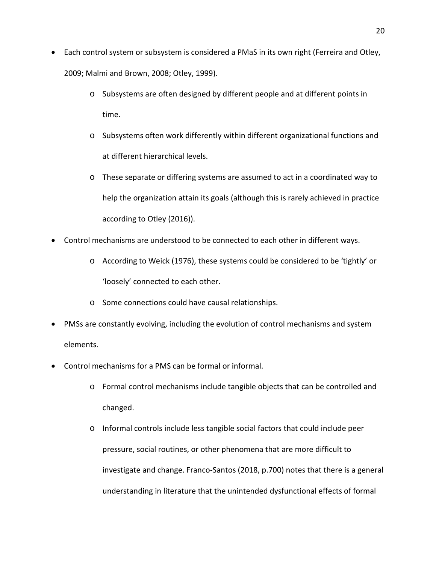- Each control system or subsystem is considered a PMaS in its own right (Ferreira and Otley, 2009; Malmi and Brown, 2008; Otley, 1999).
	- o Subsystems are often designed by different people and at different points in time.
	- o Subsystems often work differently within different organizational functions and at different hierarchical levels.
	- o These separate or differing systems are assumed to act in a coordinated way to help the organization attain its goals (although this is rarely achieved in practice according to Otley (2016)).
- Control mechanisms are understood to be connected to each other in different ways.
	- o According to Weick (1976), these systems could be considered to be 'tightly' or 'loosely' connected to each other.
	- o Some connections could have causal relationships.
- PMSs are constantly evolving, including the evolution of control mechanisms and system elements.
- Control mechanisms for a PMS can be formal or informal.
	- o Formal control mechanisms include tangible objects that can be controlled and changed.
	- o Informal controls include less tangible social factors that could include peer pressure, social routines, or other phenomena that are more difficult to investigate and change. Franco-Santos (2018, p.700) notes that there is a general understanding in literature that the unintended dysfunctional effects of formal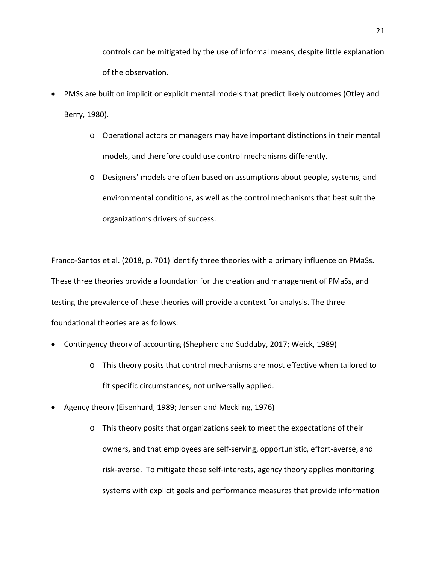controls can be mitigated by the use of informal means, despite little explanation of the observation.

- PMSs are built on implicit or explicit mental models that predict likely outcomes (Otley and Berry, 1980).
	- o Operational actors or managers may have important distinctions in their mental models, and therefore could use control mechanisms differently.
	- o Designers' models are often based on assumptions about people, systems, and environmental conditions, as well as the control mechanisms that best suit the organization's drivers of success.

Franco-Santos et al. (2018, p. 701) identify three theories with a primary influence on PMaSs. These three theories provide a foundation for the creation and management of PMaSs, and testing the prevalence of these theories will provide a context for analysis. The three foundational theories are as follows:

- Contingency theory of accounting (Shepherd and Suddaby, 2017; Weick, 1989)
	- o This theory posits that control mechanisms are most effective when tailored to fit specific circumstances, not universally applied.
- Agency theory (Eisenhard, 1989; Jensen and Meckling, 1976)
	- o This theory posits that organizations seek to meet the expectations of their owners, and that employees are self-serving, opportunistic, effort-averse, and risk-averse. To mitigate these self-interests, agency theory applies monitoring systems with explicit goals and performance measures that provide information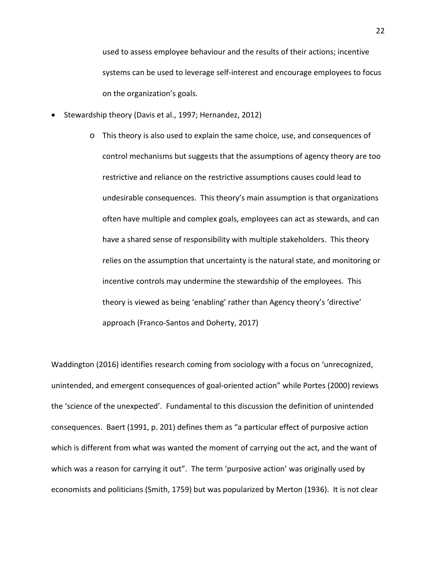used to assess employee behaviour and the results of their actions; incentive systems can be used to leverage self-interest and encourage employees to focus on the organization's goals.

- Stewardship theory (Davis et al., 1997; Hernandez, 2012)
	- o This theory is also used to explain the same choice, use, and consequences of control mechanisms but suggests that the assumptions of agency theory are too restrictive and reliance on the restrictive assumptions causes could lead to undesirable consequences. This theory's main assumption is that organizations often have multiple and complex goals, employees can act as stewards, and can have a shared sense of responsibility with multiple stakeholders. This theory relies on the assumption that uncertainty is the natural state, and monitoring or incentive controls may undermine the stewardship of the employees. This theory is viewed as being 'enabling' rather than Agency theory's 'directive' approach (Franco-Santos and Doherty, 2017)

Waddington (2016) identifies research coming from sociology with a focus on 'unrecognized, unintended, and emergent consequences of goal-oriented action" while Portes (2000) reviews the 'science of the unexpected'. Fundamental to this discussion the definition of unintended consequences. Baert (1991, p. 201) defines them as "a particular effect of purposive action which is different from what was wanted the moment of carrying out the act, and the want of which was a reason for carrying it out". The term 'purposive action' was originally used by economists and politicians (Smith, 1759) but was popularized by Merton (1936). It is not clear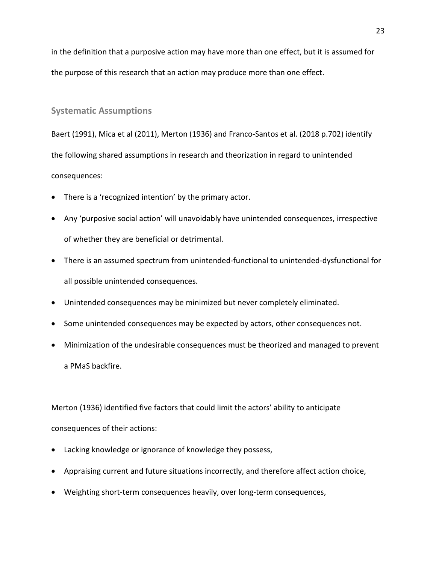in the definition that a purposive action may have more than one effect, but it is assumed for the purpose of this research that an action may produce more than one effect.

#### <span id="page-24-0"></span>**Systematic Assumptions**

Baert (1991), Mica et al (2011), Merton (1936) and Franco-Santos et al. (2018 p.702) identify the following shared assumptions in research and theorization in regard to unintended consequences:

- There is a 'recognized intention' by the primary actor.
- Any 'purposive social action' will unavoidably have unintended consequences, irrespective of whether they are beneficial or detrimental.
- There is an assumed spectrum from unintended-functional to unintended-dysfunctional for all possible unintended consequences.
- Unintended consequences may be minimized but never completely eliminated.
- Some unintended consequences may be expected by actors, other consequences not.
- Minimization of the undesirable consequences must be theorized and managed to prevent a PMaS backfire.

Merton (1936) identified five factors that could limit the actors' ability to anticipate consequences of their actions:

- Lacking knowledge or ignorance of knowledge they possess,
- Appraising current and future situations incorrectly, and therefore affect action choice,
- Weighting short-term consequences heavily, over long-term consequences,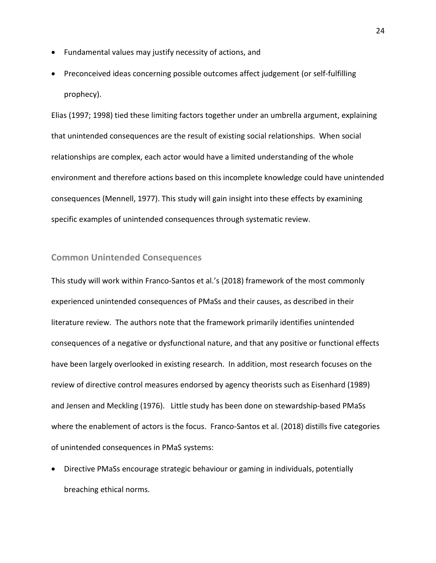- Fundamental values may justify necessity of actions, and
- Preconceived ideas concerning possible outcomes affect judgement (or self-fulfilling prophecy).

Elias (1997; 1998) tied these limiting factors together under an umbrella argument, explaining that unintended consequences are the result of existing social relationships. When social relationships are complex, each actor would have a limited understanding of the whole environment and therefore actions based on this incomplete knowledge could have unintended consequences (Mennell, 1977). This study will gain insight into these effects by examining specific examples of unintended consequences through systematic review.

#### <span id="page-25-0"></span>**Common Unintended Consequences**

This study will work within Franco-Santos et al.'s (2018) framework of the most commonly experienced unintended consequences of PMaSs and their causes, as described in their literature review. The authors note that the framework primarily identifies unintended consequences of a negative or dysfunctional nature, and that any positive or functional effects have been largely overlooked in existing research. In addition, most research focuses on the review of directive control measures endorsed by agency theorists such as Eisenhard (1989) and Jensen and Meckling (1976). Little study has been done on stewardship-based PMaSs where the enablement of actors is the focus. Franco-Santos et al. (2018) distills five categories of unintended consequences in PMaS systems:

• Directive PMaSs encourage strategic behaviour or gaming in individuals, potentially breaching ethical norms.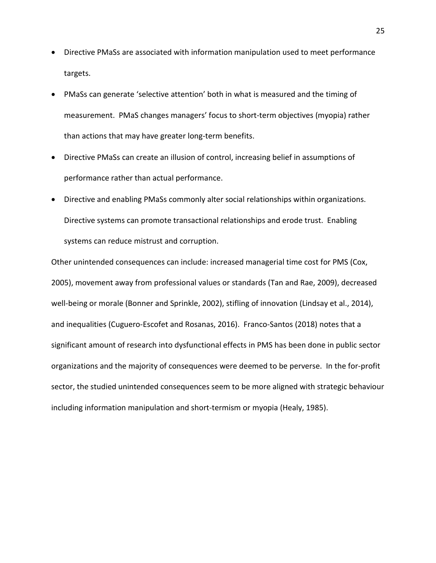- Directive PMaSs are associated with information manipulation used to meet performance targets.
- PMaSs can generate 'selective attention' both in what is measured and the timing of measurement. PMaS changes managers' focus to short-term objectives (myopia) rather than actions that may have greater long-term benefits.
- Directive PMaSs can create an illusion of control, increasing belief in assumptions of performance rather than actual performance.
- Directive and enabling PMaSs commonly alter social relationships within organizations. Directive systems can promote transactional relationships and erode trust. Enabling systems can reduce mistrust and corruption.

Other unintended consequences can include: increased managerial time cost for PMS (Cox, 2005), movement away from professional values or standards (Tan and Rae, 2009), decreased well-being or morale (Bonner and Sprinkle, 2002), stifling of innovation (Lindsay et al., 2014), and inequalities (Cuguero-Escofet and Rosanas, 2016). Franco-Santos (2018) notes that a significant amount of research into dysfunctional effects in PMS has been done in public sector organizations and the majority of consequences were deemed to be perverse. In the for-profit sector, the studied unintended consequences seem to be more aligned with strategic behaviour including information manipulation and short-termism or myopia (Healy, 1985).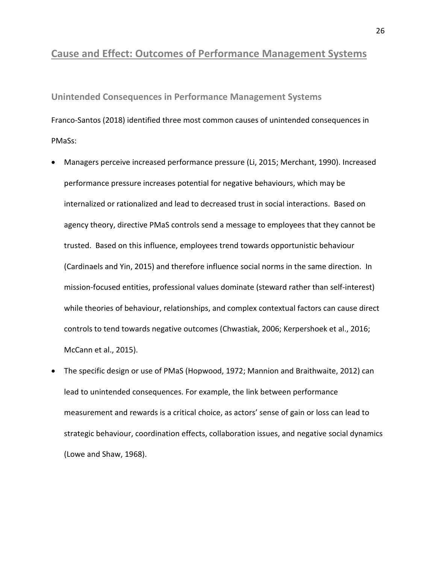## <span id="page-27-0"></span>**Cause and Effect: Outcomes of Performance Management Systems**

<span id="page-27-1"></span>**Unintended Consequences in Performance Management Systems** Franco-Santos (2018) identified three most common causes of unintended consequences in PMaSs:

- Managers perceive increased performance pressure (Li, 2015; Merchant, 1990). Increased performance pressure increases potential for negative behaviours, which may be internalized or rationalized and lead to decreased trust in social interactions. Based on agency theory, directive PMaS controls send a message to employees that they cannot be trusted. Based on this influence, employees trend towards opportunistic behaviour (Cardinaels and Yin, 2015) and therefore influence social norms in the same direction. In mission-focused entities, professional values dominate (steward rather than self-interest) while theories of behaviour, relationships, and complex contextual factors can cause direct controls to tend towards negative outcomes (Chwastiak, 2006; Kerpershoek et al., 2016; McCann et al., 2015).
- The specific design or use of PMaS (Hopwood, 1972; Mannion and Braithwaite, 2012) can lead to unintended consequences. For example, the link between performance measurement and rewards is a critical choice, as actors' sense of gain or loss can lead to strategic behaviour, coordination effects, collaboration issues, and negative social dynamics (Lowe and Shaw, 1968).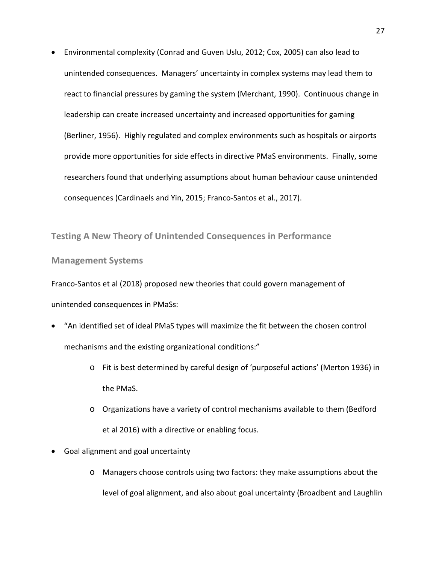• Environmental complexity (Conrad and Guven Uslu, 2012; Cox, 2005) can also lead to unintended consequences. Managers' uncertainty in complex systems may lead them to react to financial pressures by gaming the system (Merchant, 1990). Continuous change in leadership can create increased uncertainty and increased opportunities for gaming (Berliner, 1956). Highly regulated and complex environments such as hospitals or airports provide more opportunities for side effects in directive PMaS environments. Finally, some researchers found that underlying assumptions about human behaviour cause unintended consequences (Cardinaels and Yin, 2015; Franco-Santos et al., 2017).

<span id="page-28-0"></span>**Testing A New Theory of Unintended Consequences in Performance** 

**Management Systems**

Franco-Santos et al (2018) proposed new theories that could govern management of unintended consequences in PMaSs:

- "An identified set of ideal PMaS types will maximize the fit between the chosen control mechanisms and the existing organizational conditions:"
	- o Fit is best determined by careful design of 'purposeful actions' (Merton 1936) in the PMaS.
	- o Organizations have a variety of control mechanisms available to them (Bedford et al 2016) with a directive or enabling focus.
- Goal alignment and goal uncertainty
	- o Managers choose controls using two factors: they make assumptions about the level of goal alignment, and also about goal uncertainty (Broadbent and Laughlin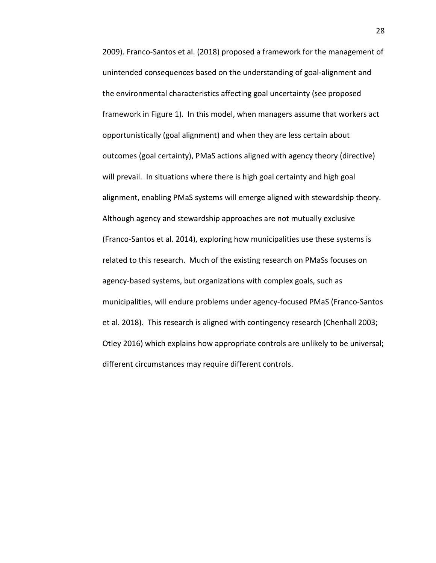2009). Franco-Santos et al. (2018) proposed a framework for the management of unintended consequences based on the understanding of goal-alignment and the environmental characteristics affecting goal uncertainty (see proposed framework in Figure 1). In this model, when managers assume that workers act opportunistically (goal alignment) and when they are less certain about outcomes (goal certainty), PMaS actions aligned with agency theory (directive) will prevail. In situations where there is high goal certainty and high goal alignment, enabling PMaS systems will emerge aligned with stewardship theory. Although agency and stewardship approaches are not mutually exclusive (Franco-Santos et al. 2014), exploring how municipalities use these systems is related to this research. Much of the existing research on PMaSs focuses on agency-based systems, but organizations with complex goals, such as municipalities, will endure problems under agency-focused PMaS (Franco-Santos et al. 2018). This research is aligned with contingency research (Chenhall 2003; Otley 2016) which explains how appropriate controls are unlikely to be universal; different circumstances may require different controls.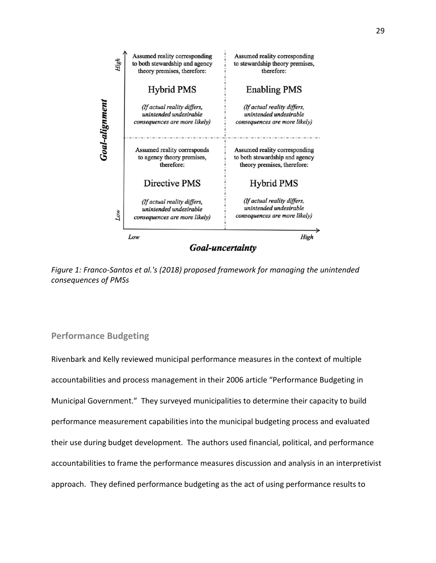

*Figure 1: Franco-Santos et al.'s (2018) proposed framework for managing the unintended consequences of PMSs*

#### <span id="page-30-0"></span>**Performance Budgeting**

Rivenbark and Kelly reviewed municipal performance measures in the context of multiple accountabilities and process management in their 2006 article "Performance Budgeting in Municipal Government." They surveyed municipalities to determine their capacity to build performance measurement capabilities into the municipal budgeting process and evaluated their use during budget development. The authors used financial, political, and performance accountabilities to frame the performance measures discussion and analysis in an interpretivist approach. They defined performance budgeting as the act of using performance results to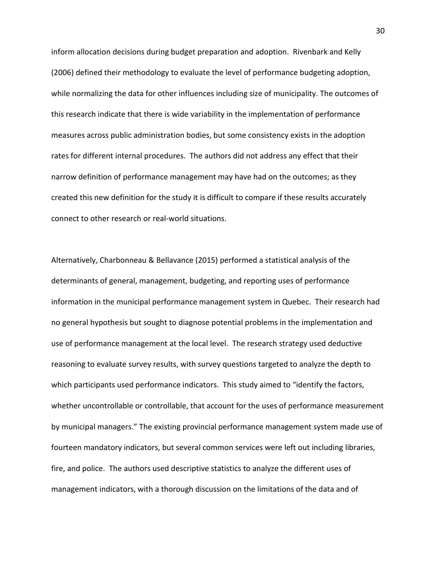inform allocation decisions during budget preparation and adoption. Rivenbark and Kelly (2006) defined their methodology to evaluate the level of performance budgeting adoption, while normalizing the data for other influences including size of municipality. The outcomes of this research indicate that there is wide variability in the implementation of performance measures across public administration bodies, but some consistency exists in the adoption rates for different internal procedures. The authors did not address any effect that their narrow definition of performance management may have had on the outcomes; as they created this new definition for the study it is difficult to compare if these results accurately connect to other research or real-world situations.

Alternatively, Charbonneau & Bellavance (2015) performed a statistical analysis of the determinants of general, management, budgeting, and reporting uses of performance information in the municipal performance management system in Quebec. Their research had no general hypothesis but sought to diagnose potential problems in the implementation and use of performance management at the local level. The research strategy used deductive reasoning to evaluate survey results, with survey questions targeted to analyze the depth to which participants used performance indicators. This study aimed to "identify the factors, whether uncontrollable or controllable, that account for the uses of performance measurement by municipal managers." The existing provincial performance management system made use of fourteen mandatory indicators, but several common services were left out including libraries, fire, and police. The authors used descriptive statistics to analyze the different uses of management indicators, with a thorough discussion on the limitations of the data and of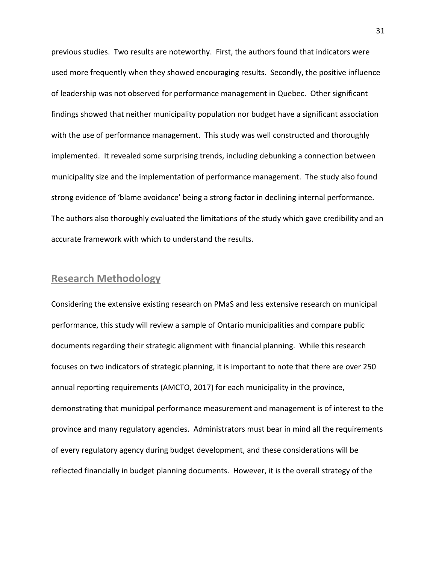previous studies. Two results are noteworthy. First, the authors found that indicators were used more frequently when they showed encouraging results. Secondly, the positive influence of leadership was not observed for performance management in Quebec. Other significant findings showed that neither municipality population nor budget have a significant association with the use of performance management. This study was well constructed and thoroughly implemented. It revealed some surprising trends, including debunking a connection between municipality size and the implementation of performance management. The study also found strong evidence of 'blame avoidance' being a strong factor in declining internal performance. The authors also thoroughly evaluated the limitations of the study which gave credibility and an accurate framework with which to understand the results.

## <span id="page-32-0"></span>**Research Methodology**

Considering the extensive existing research on PMaS and less extensive research on municipal performance, this study will review a sample of Ontario municipalities and compare public documents regarding their strategic alignment with financial planning. While this research focuses on two indicators of strategic planning, it is important to note that there are over 250 annual reporting requirements (AMCTO, 2017) for each municipality in the province, demonstrating that municipal performance measurement and management is of interest to the province and many regulatory agencies. Administrators must bear in mind all the requirements of every regulatory agency during budget development, and these considerations will be reflected financially in budget planning documents. However, it is the overall strategy of the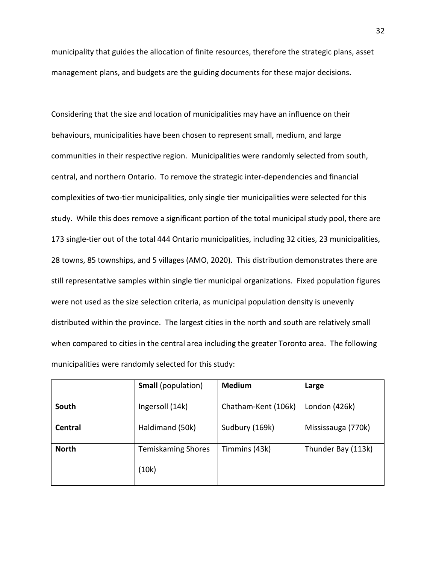municipality that guides the allocation of finite resources, therefore the strategic plans, asset management plans, and budgets are the guiding documents for these major decisions.

Considering that the size and location of municipalities may have an influence on their behaviours, municipalities have been chosen to represent small, medium, and large communities in their respective region. Municipalities were randomly selected from south, central, and northern Ontario. To remove the strategic inter-dependencies and financial complexities of two-tier municipalities, only single tier municipalities were selected for this study. While this does remove a significant portion of the total municipal study pool, there are 173 single-tier out of the total 444 Ontario municipalities, including 32 cities, 23 municipalities, 28 towns, 85 townships, and 5 villages (AMO, 2020). This distribution demonstrates there are still representative samples within single tier municipal organizations. Fixed population figures were not used as the size selection criteria, as municipal population density is unevenly distributed within the province. The largest cities in the north and south are relatively small when compared to cities in the central area including the greater Toronto area. The following municipalities were randomly selected for this study:

|              | <b>Small</b> (population)          | <b>Medium</b>       | Large              |
|--------------|------------------------------------|---------------------|--------------------|
| South        | Ingersoll (14k)                    | Chatham-Kent (106k) | London (426k)      |
| Central      | Haldimand (50k)                    | Sudbury (169k)      | Mississauga (770k) |
| <b>North</b> | <b>Temiskaming Shores</b><br>(10k) | Timmins (43k)       | Thunder Bay (113k) |
|              |                                    |                     |                    |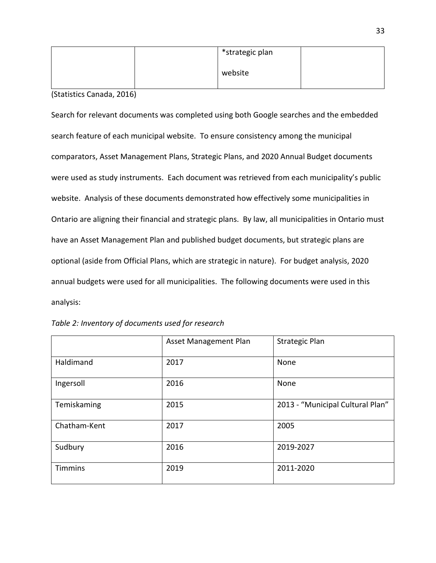|  | *strategic plan |  |
|--|-----------------|--|
|  | website         |  |

(Statistics Canada, 2016)

Search for relevant documents was completed using both Google searches and the embedded search feature of each municipal website. To ensure consistency among the municipal comparators, Asset Management Plans, Strategic Plans, and 2020 Annual Budget documents were used as study instruments. Each document was retrieved from each municipality's public website. Analysis of these documents demonstrated how effectively some municipalities in Ontario are aligning their financial and strategic plans. By law, all municipalities in Ontario must have an Asset Management Plan and published budget documents, but strategic plans are optional (aside from Official Plans, which are strategic in nature). For budget analysis, 2020 annual budgets were used for all municipalities. The following documents were used in this analysis:

|              | <b>Asset Management Plan</b> | <b>Strategic Plan</b>            |
|--------------|------------------------------|----------------------------------|
| Haldimand    | 2017                         | None                             |
| Ingersoll    | 2016                         | None                             |
| Temiskaming  | 2015                         | 2013 - "Municipal Cultural Plan" |
| Chatham-Kent | 2017                         | 2005                             |
| Sudbury      | 2016                         | 2019-2027                        |
| Timmins      | 2019                         | 2011-2020                        |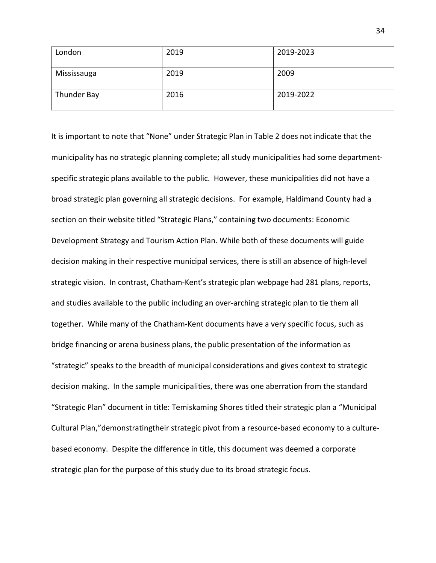| London      | 2019 | 2019-2023 |
|-------------|------|-----------|
| Mississauga | 2019 | 2009      |
| Thunder Bay | 2016 | 2019-2022 |

It is important to note that "None" under Strategic Plan in Table 2 does not indicate that the municipality has no strategic planning complete; all study municipalities had some departmentspecific strategic plans available to the public. However, these municipalities did not have a broad strategic plan governing all strategic decisions. For example, Haldimand County had a section on their website titled "Strategic Plans," containing two documents: Economic Development Strategy and Tourism Action Plan. While both of these documents will guide decision making in their respective municipal services, there is still an absence of high-level strategic vision. In contrast, Chatham-Kent's strategic plan webpage had 281 plans, reports, and studies available to the public including an over-arching strategic plan to tie them all together. While many of the Chatham-Kent documents have a very specific focus, such as bridge financing or arena business plans, the public presentation of the information as "strategic" speaks to the breadth of municipal considerations and gives context to strategic decision making. In the sample municipalities, there was one aberration from the standard "Strategic Plan" document in title: Temiskaming Shores titled their strategic plan a "Municipal Cultural Plan,"demonstratingtheir strategic pivot from a resource-based economy to a culturebased economy. Despite the difference in title, this document was deemed a corporate strategic plan for the purpose of this study due to its broad strategic focus.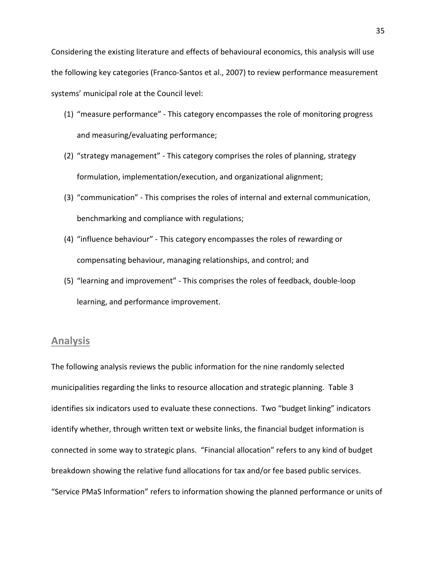- (1) "measure performance" This category encompasses the role of monitoring progress and measuring/evaluating performance;
- (2) "strategy management" This category comprises the roles of planning, strategy formulation, implementation/execution, and organizational alignment;
- (3) "communication" This comprises the roles of internal and external communication, benchmarking and compliance with regulations;
- (4) "influence behaviour" This category encompasses the roles of rewarding or compensating behaviour, managing relationships, and control; and
- (5) "learning and improvement" This comprises the roles of feedback, double-loop learning, and performance improvement.

## <span id="page-36-0"></span>**Analysis**

The following analysis reviews the public information for the nine randomly selected municipalities regarding the links to resource allocation and strategic planning. Table 3 identifies six indicators used to evaluate these connections. Two "budget linking" indicators identify whether, through written text or website links, the financial budget information is connected in some way to strategic plans. "Financial allocation" refers to any kind of budget breakdown showing the relative fund allocations for tax and/or fee based public services. "Service PMaS Information" refers to information showing the planned performance or units of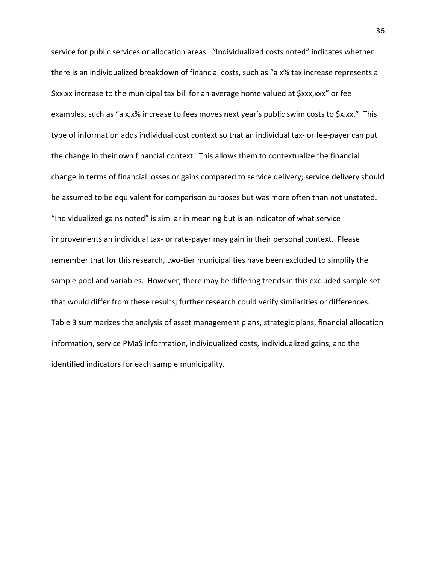service for public services or allocation areas. "Individualized costs noted" indicates whether there is an individualized breakdown of financial costs, such as "a x% tax increase represents a \$xx.xx increase to the municipal tax bill for an average home valued at \$xxx,xxx" or fee examples, such as "a x.x% increase to fees moves next year's public swim costs to \$x.xx." This type of information adds individual cost context so that an individual tax- or fee-payer can put the change in their own financial context. This allows them to contextualize the financial change in terms of financial losses or gains compared to service delivery; service delivery should be assumed to be equivalent for comparison purposes but was more often than not unstated. "Individualized gains noted" is similar in meaning but is an indicator of what service improvements an individual tax- or rate-payer may gain in their personal context. Please remember that for this research, two-tier municipalities have been excluded to simplify the sample pool and variables. However, there may be differing trends in this excluded sample set that would differ from these results; further research could verify similarities or differences. Table 3 summarizes the analysis of asset management plans, strategic plans, financial allocation information, service PMaS information, individualized costs, individualized gains, and the identified indicators for each sample municipality.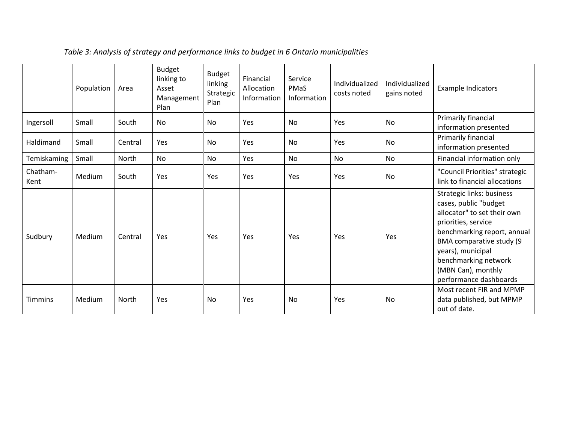|                  | Population | Area         | <b>Budget</b><br>linking to<br>Asset<br>Management<br>Plan | <b>Budget</b><br>linking<br>Strategic<br>Plan | Financial<br>Allocation<br>Information | Service<br><b>PMaS</b><br>Information | Individualized<br>costs noted | Individualized<br>gains noted | <b>Example Indicators</b>                                                                                                                                                                                                                                        |
|------------------|------------|--------------|------------------------------------------------------------|-----------------------------------------------|----------------------------------------|---------------------------------------|-------------------------------|-------------------------------|------------------------------------------------------------------------------------------------------------------------------------------------------------------------------------------------------------------------------------------------------------------|
| Ingersoll        | Small      | South        | No                                                         | <b>No</b>                                     | Yes                                    | <b>No</b>                             | Yes                           | No                            | Primarily financial<br>information presented                                                                                                                                                                                                                     |
| Haldimand        | Small      | Central      | Yes                                                        | No                                            | Yes                                    | No                                    | Yes                           | No                            | Primarily financial<br>information presented                                                                                                                                                                                                                     |
| Temiskaming      | Small      | North        | No.                                                        | <b>No</b>                                     | Yes                                    | No.                                   | <b>No</b>                     | <b>No</b>                     | Financial information only                                                                                                                                                                                                                                       |
| Chatham-<br>Kent | Medium     | South        | Yes                                                        | Yes                                           | Yes                                    | <b>Yes</b>                            | Yes                           | No                            | "Council Priorities" strategic<br>link to financial allocations                                                                                                                                                                                                  |
| Sudbury          | Medium     | Central      | Yes                                                        | Yes                                           | Yes                                    | Yes                                   | Yes                           | Yes                           | Strategic links: business<br>cases, public "budget<br>allocator" to set their own<br>priorities, service<br>benchmarking report, annual<br>BMA comparative study (9<br>years), municipal<br>benchmarking network<br>(MBN Can), monthly<br>performance dashboards |
| <b>Timmins</b>   | Medium     | <b>North</b> | Yes                                                        | No                                            | Yes                                    | No                                    | Yes                           | No                            | Most recent FIR and MPMP<br>data published, but MPMP<br>out of date.                                                                                                                                                                                             |

# *Table 3: Analysis of strategy and performance links to budget in 6 Ontario municipalities*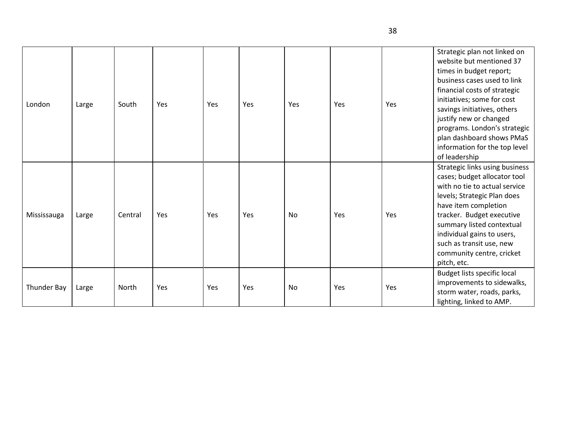| London      | Large | South   | Yes | Yes | Yes | Yes | Yes | Yes | Strategic plan not linked on<br>website but mentioned 37<br>times in budget report;<br>business cases used to link<br>financial costs of strategic<br>initiatives; some for cost<br>savings initiatives, others<br>justify new or changed<br>programs. London's strategic<br>plan dashboard shows PMaS<br>information for the top level<br>of leadership |
|-------------|-------|---------|-----|-----|-----|-----|-----|-----|----------------------------------------------------------------------------------------------------------------------------------------------------------------------------------------------------------------------------------------------------------------------------------------------------------------------------------------------------------|
| Mississauga | Large | Central | Yes | Yes | Yes | No  | Yes | Yes | Strategic links using business<br>cases; budget allocator tool<br>with no tie to actual service<br>levels; Strategic Plan does<br>have item completion<br>tracker. Budget executive<br>summary listed contextual<br>individual gains to users,<br>such as transit use, new<br>community centre, cricket<br>pitch, etc.                                   |
| Thunder Bay | Large | North   | Yes | Yes | Yes | No  | Yes | Yes | Budget lists specific local<br>improvements to sidewalks,<br>storm water, roads, parks,<br>lighting, linked to AMP.                                                                                                                                                                                                                                      |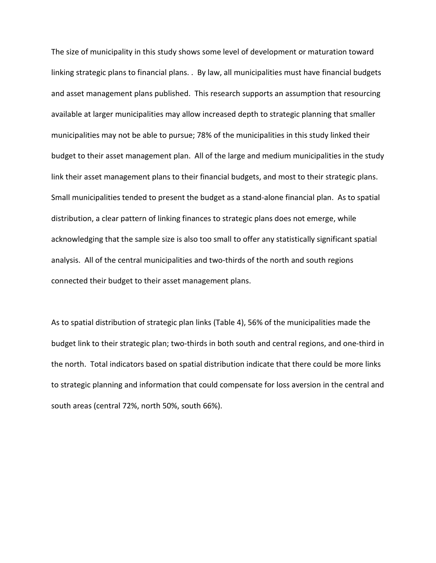The size of municipality in this study shows some level of development or maturation toward linking strategic plans to financial plans. . By law, all municipalities must have financial budgets and asset management plans published. This research supports an assumption that resourcing available at larger municipalities may allow increased depth to strategic planning that smaller municipalities may not be able to pursue; 78% of the municipalities in this study linked their budget to their asset management plan. All of the large and medium municipalities in the study link their asset management plans to their financial budgets, and most to their strategic plans. Small municipalities tended to present the budget as a stand-alone financial plan. As to spatial distribution, a clear pattern of linking finances to strategic plans does not emerge, while acknowledging that the sample size is also too small to offer any statistically significant spatial analysis. All of the central municipalities and two-thirds of the north and south regions connected their budget to their asset management plans.

As to spatial distribution of strategic plan links (Table 4), 56% of the municipalities made the budget link to their strategic plan; two-thirds in both south and central regions, and one-third in the north. Total indicators based on spatial distribution indicate that there could be more links to strategic planning and information that could compensate for loss aversion in the central and south areas (central 72%, north 50%, south 66%).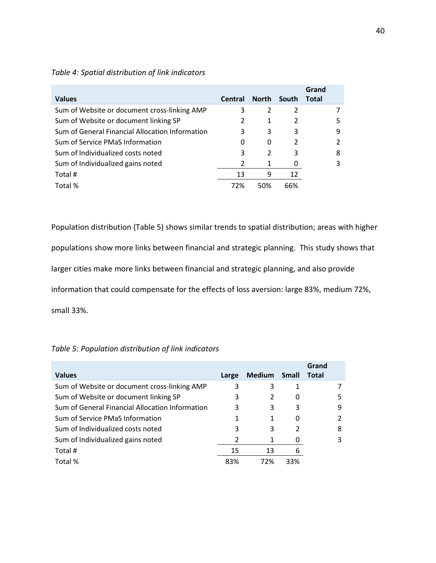|                                                 |                |              |                | Grand        |                |
|-------------------------------------------------|----------------|--------------|----------------|--------------|----------------|
| <b>Values</b>                                   | <b>Central</b> | <b>North</b> | South          | <b>Total</b> |                |
| Sum of Website or document cross-linking AMP    | 3              | 2            | $\mathfrak{p}$ |              |                |
| Sum of Website or document linking SP           |                | 1            | $\mathcal{P}$  |              | 5              |
| Sum of General Financial Allocation Information | 3              | 3            | 3              |              | 9              |
| Sum of Service PMaS Information                 | 0              | 0            | $\mathcal{P}$  |              | $\mathfrak{p}$ |
| Sum of Individualized costs noted               | 3              | 2            | 3              |              | 8              |
| Sum of Individualized gains noted               | 2              | 1            | 0              |              | 3              |
| Total #                                         | 13             | 9            | 12             |              |                |
| Total %                                         | 72%            | 50%          | 66%            |              |                |

#### *Table 4: Spatial distribution of link indicators*

Population distribution (Table 5) shows similar trends to spatial distribution; areas with higher populations show more links between financial and strategic planning. This study shows that larger cities make more links between financial and strategic planning, and also provide information that could compensate for the effects of loss aversion: large 83%, medium 72%, small 33%.

|                                                 |       |               |     | Grand |   |
|-------------------------------------------------|-------|---------------|-----|-------|---|
| <b>Values</b>                                   | Large | Medium Small  |     | Total |   |
| Sum of Website or document cross-linking AMP    | 3     | 3             |     |       |   |
| Sum of Website or document linking SP           | 3     | $\mathcal{P}$ | O   |       |   |
| Sum of General Financial Allocation Information | 3     | 3             | 3   |       | 9 |
| Sum of Service PMaS Information                 |       | 1             | 0   |       |   |
| Sum of Individualized costs noted               | 3     | 3             | 2   |       | 8 |
| Sum of Individualized gains noted               |       | 1             | 0   |       |   |
| Total #                                         | 15    | 13            | 6   |       |   |
| Total %                                         | 83%   | 72%           | 33% |       |   |

#### *Table 5: Population distribution of link indicators*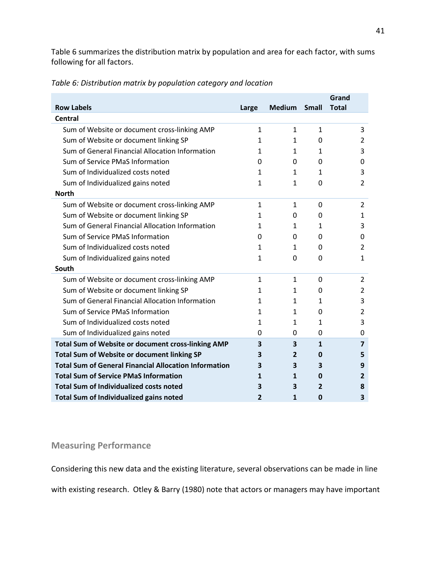Table 6 summarizes the distribution matrix by population and area for each factor, with sums following for all factors.

|                                                              |              |               |              | Grand          |
|--------------------------------------------------------------|--------------|---------------|--------------|----------------|
| <b>Row Labels</b>                                            | Large        | <b>Medium</b> | <b>Small</b> | <b>Total</b>   |
| Central                                                      |              |               |              |                |
| Sum of Website or document cross-linking AMP                 | $\mathbf{1}$ | $\mathbf{1}$  | $\mathbf{1}$ | 3              |
| Sum of Website or document linking SP                        | 1            | 1             | 0            | 2              |
| Sum of General Financial Allocation Information              | 1            | 1             | 1            | 3              |
| Sum of Service PMaS Information                              | 0            | 0             | 0            | 0              |
| Sum of Individualized costs noted                            | 1            | 1             | $\mathbf{1}$ | 3              |
| Sum of Individualized gains noted                            | $\mathbf{1}$ | $\mathbf{1}$  | 0            | $\overline{2}$ |
| <b>North</b>                                                 |              |               |              |                |
| Sum of Website or document cross-linking AMP                 | $\mathbf{1}$ | $\mathbf{1}$  | 0            | 2              |
| Sum of Website or document linking SP                        | 1            | 0             | 0            | 1              |
| Sum of General Financial Allocation Information              | 1            | 1             | $\mathbf{1}$ | 3              |
| Sum of Service PMaS Information                              | 0            | 0             | 0            | 0              |
| Sum of Individualized costs noted                            | 1            | 1             | 0            | 2              |
| Sum of Individualized gains noted                            | $\mathbf{1}$ | 0             | 0            | 1              |
| South                                                        |              |               |              |                |
| Sum of Website or document cross-linking AMP                 | 1            | 1             | 0            | 2              |
| Sum of Website or document linking SP                        | 1            | $\mathbf{1}$  | 0            | 2              |
| Sum of General Financial Allocation Information              | 1            | 1             | $\mathbf{1}$ | 3              |
| Sum of Service PMaS Information                              | 1            | 1             | 0            | 2              |
| Sum of Individualized costs noted                            | 1            | 1             | 1            | 3              |
| Sum of Individualized gains noted                            | 0            | 0             | 0            | 0              |
| Total Sum of Website or document cross-linking AMP           | 3            | 3             | $\mathbf{1}$ | $\overline{7}$ |
| Total Sum of Website or document linking SP                  | з            | 2             | 0            | 5              |
| <b>Total Sum of General Financial Allocation Information</b> | 3            | 3             | 3            | 9              |
| <b>Total Sum of Service PMaS Information</b>                 | 1            | 1             | $\mathbf{0}$ | 2              |
| <b>Total Sum of Individualized costs noted</b>               | З            | З             | 2            | 8              |
| Total Sum of Individualized gains noted                      | 2            | $\mathbf{1}$  | 0            | 3              |

*Table 6: Distribution matrix by population category and location*

## <span id="page-42-0"></span>**Measuring Performance**

Considering this new data and the existing literature, several observations can be made in line

with existing research. Otley & Barry (1980) note that actors or managers may have important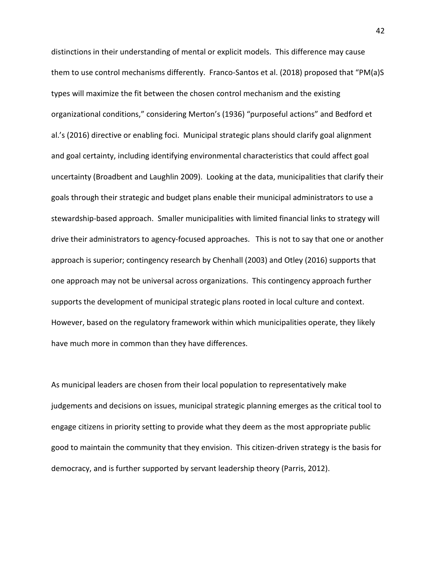distinctions in their understanding of mental or explicit models. This difference may cause them to use control mechanisms differently. Franco-Santos et al. (2018) proposed that "PM(a)S types will maximize the fit between the chosen control mechanism and the existing organizational conditions," considering Merton's (1936) "purposeful actions" and Bedford et al.'s (2016) directive or enabling foci. Municipal strategic plans should clarify goal alignment and goal certainty, including identifying environmental characteristics that could affect goal uncertainty (Broadbent and Laughlin 2009). Looking at the data, municipalities that clarify their goals through their strategic and budget plans enable their municipal administrators to use a stewardship-based approach. Smaller municipalities with limited financial links to strategy will drive their administrators to agency-focused approaches. This is not to say that one or another approach is superior; contingency research by Chenhall (2003) and Otley (2016) supports that one approach may not be universal across organizations. This contingency approach further supports the development of municipal strategic plans rooted in local culture and context. However, based on the regulatory framework within which municipalities operate, they likely have much more in common than they have differences.

As municipal leaders are chosen from their local population to representatively make judgements and decisions on issues, municipal strategic planning emerges as the critical tool to engage citizens in priority setting to provide what they deem as the most appropriate public good to maintain the community that they envision. This citizen-driven strategy is the basis for democracy, and is further supported by servant leadership theory (Parris, 2012).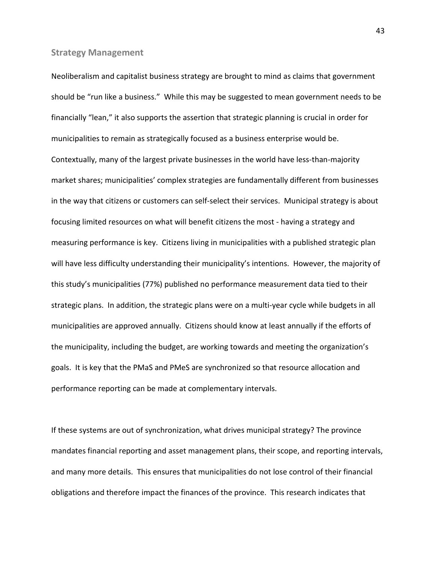#### <span id="page-44-0"></span>**Strategy Management**

Neoliberalism and capitalist business strategy are brought to mind as claims that government should be "run like a business." While this may be suggested to mean government needs to be financially "lean," it also supports the assertion that strategic planning is crucial in order for municipalities to remain as strategically focused as a business enterprise would be. Contextually, many of the largest private businesses in the world have less-than-majority market shares; municipalities' complex strategies are fundamentally different from businesses in the way that citizens or customers can self-select their services. Municipal strategy is about focusing limited resources on what will benefit citizens the most - having a strategy and measuring performance is key. Citizens living in municipalities with a published strategic plan will have less difficulty understanding their municipality's intentions. However, the majority of this study's municipalities (77%) published no performance measurement data tied to their strategic plans. In addition, the strategic plans were on a multi-year cycle while budgets in all municipalities are approved annually. Citizens should know at least annually if the efforts of the municipality, including the budget, are working towards and meeting the organization's goals. It is key that the PMaS and PMeS are synchronized so that resource allocation and performance reporting can be made at complementary intervals.

If these systems are out of synchronization, what drives municipal strategy? The province mandates financial reporting and asset management plans, their scope, and reporting intervals, and many more details. This ensures that municipalities do not lose control of their financial obligations and therefore impact the finances of the province. This research indicates that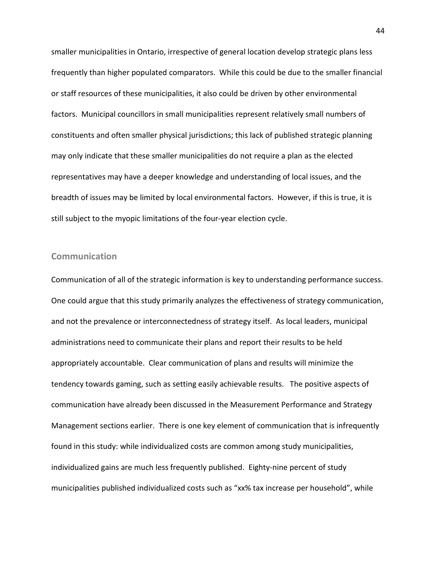smaller municipalities in Ontario, irrespective of general location develop strategic plans less frequently than higher populated comparators. While this could be due to the smaller financial or staff resources of these municipalities, it also could be driven by other environmental factors. Municipal councillors in small municipalities represent relatively small numbers of constituents and often smaller physical jurisdictions; this lack of published strategic planning may only indicate that these smaller municipalities do not require a plan as the elected representatives may have a deeper knowledge and understanding of local issues, and the breadth of issues may be limited by local environmental factors. However, if this is true, it is still subject to the myopic limitations of the four-year election cycle.

#### <span id="page-45-0"></span>**Communication**

Communication of all of the strategic information is key to understanding performance success. One could argue that this study primarily analyzes the effectiveness of strategy communication, and not the prevalence or interconnectedness of strategy itself. As local leaders, municipal administrations need to communicate their plans and report their results to be held appropriately accountable. Clear communication of plans and results will minimize the tendency towards gaming, such as setting easily achievable results. The positive aspects of communication have already been discussed in the Measurement Performance and Strategy Management sections earlier. There is one key element of communication that is infrequently found in this study: while individualized costs are common among study municipalities, individualized gains are much less frequently published. Eighty-nine percent of study municipalities published individualized costs such as "xx% tax increase per household", while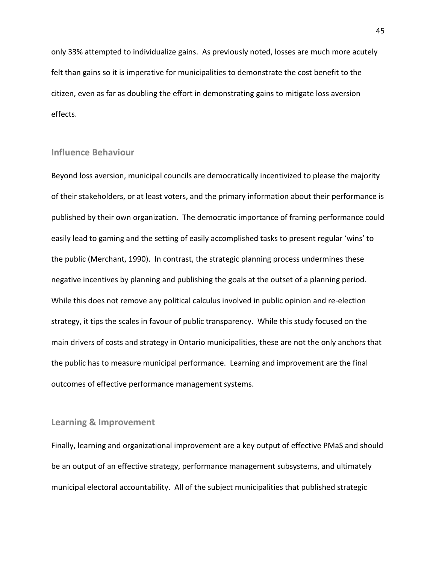only 33% attempted to individualize gains. As previously noted, losses are much more acutely felt than gains so it is imperative for municipalities to demonstrate the cost benefit to the citizen, even as far as doubling the effort in demonstrating gains to mitigate loss aversion effects.

#### <span id="page-46-0"></span>**Influence Behaviour**

Beyond loss aversion, municipal councils are democratically incentivized to please the majority of their stakeholders, or at least voters, and the primary information about their performance is published by their own organization. The democratic importance of framing performance could easily lead to gaming and the setting of easily accomplished tasks to present regular 'wins' to the public (Merchant, 1990). In contrast, the strategic planning process undermines these negative incentives by planning and publishing the goals at the outset of a planning period. While this does not remove any political calculus involved in public opinion and re-election strategy, it tips the scales in favour of public transparency. While this study focused on the main drivers of costs and strategy in Ontario municipalities, these are not the only anchors that the public has to measure municipal performance. Learning and improvement are the final outcomes of effective performance management systems.

#### <span id="page-46-1"></span>**Learning & Improvement**

Finally, learning and organizational improvement are a key output of effective PMaS and should be an output of an effective strategy, performance management subsystems, and ultimately municipal electoral accountability. All of the subject municipalities that published strategic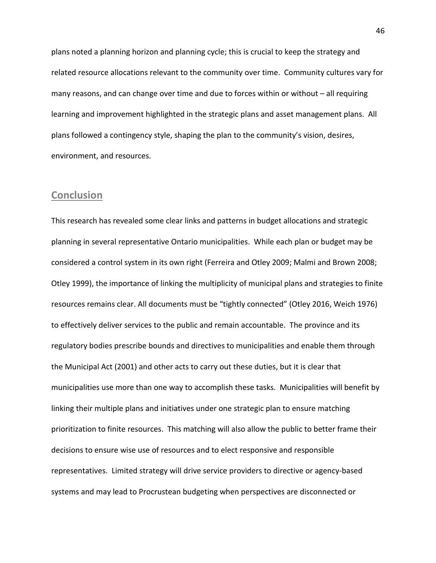plans noted a planning horizon and planning cycle; this is crucial to keep the strategy and related resource allocations relevant to the community over time. Community cultures vary for many reasons, and can change over time and due to forces within or without – all requiring learning and improvement highlighted in the strategic plans and asset management plans. All plans followed a contingency style, shaping the plan to the community's vision, desires, environment, and resources.

## <span id="page-47-0"></span>**Conclusion**

This research has revealed some clear links and patterns in budget allocations and strategic planning in several representative Ontario municipalities. While each plan or budget may be considered a control system in its own right (Ferreira and Otley 2009; Malmi and Brown 2008; Otley 1999), the importance of linking the multiplicity of municipal plans and strategies to finite resources remains clear. All documents must be "tightly connected" (Otley 2016, Weich 1976) to effectively deliver services to the public and remain accountable. The province and its regulatory bodies prescribe bounds and directives to municipalities and enable them through the Municipal Act (2001) and other acts to carry out these duties, but it is clear that municipalities use more than one way to accomplish these tasks. Municipalities will benefit by linking their multiple plans and initiatives under one strategic plan to ensure matching prioritization to finite resources. This matching will also allow the public to better frame their decisions to ensure wise use of resources and to elect responsive and responsible representatives. Limited strategy will drive service providers to directive or agency-based systems and may lead to Procrustean budgeting when perspectives are disconnected or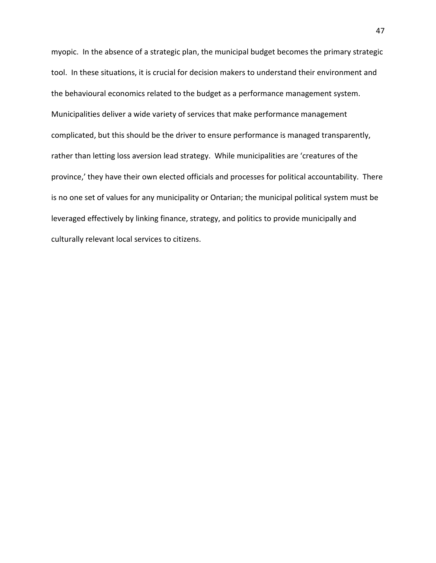myopic. In the absence of a strategic plan, the municipal budget becomes the primary strategic tool. In these situations, it is crucial for decision makers to understand their environment and the behavioural economics related to the budget as a performance management system. Municipalities deliver a wide variety of services that make performance management complicated, but this should be the driver to ensure performance is managed transparently, rather than letting loss aversion lead strategy. While municipalities are 'creatures of the province,' they have their own elected officials and processes for political accountability. There is no one set of values for any municipality or Ontarian; the municipal political system must be leveraged effectively by linking finance, strategy, and politics to provide municipally and culturally relevant local services to citizens.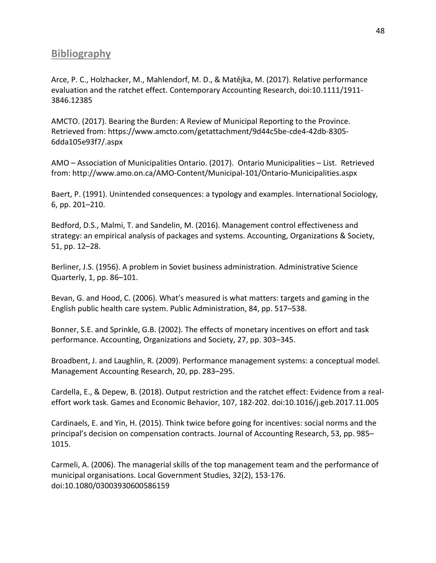## <span id="page-49-0"></span>**Bibliography**

Arce, P. C., Holzhacker, M., Mahlendorf, M. D., & Matějka, M. (2017). Relative performance evaluation and the ratchet effect. Contemporary Accounting Research, doi:10.1111/1911- 3846.12385

AMCTO. (2017). Bearing the Burden: A Review of Municipal Reporting to the Province. Retrieved from: [https://www.amcto.com/getattachment/9d44c5be-cde4-42db-8305-](https://www.amcto.com/getattachment/9d44c5be-cde4-42db-8305-6dda105e93f7/.aspx) [6dda105e93f7/.aspx](https://www.amcto.com/getattachment/9d44c5be-cde4-42db-8305-6dda105e93f7/.aspx)

AMO – Association of Municipalities Ontario. (2017). Ontario Municipalities – List. Retrieved from[: http://www.amo.on.ca/AMO-Content/Municipal-101/Ontario-Municipalities.aspx](http://www.amo.on.ca/AMO-Content/Municipal-101/Ontario-Municipalities.aspx)

Baert, P. (1991). Unintended consequences: a typology and examples. International Sociology, 6, pp. 201–210.

Bedford, D.S., Malmi, T. and Sandelin, M. (2016). Management control effectiveness and strategy: an empirical analysis of packages and systems. Accounting, Organizations & Society, 51, pp. 12–28.

Berliner, J.S. (1956). A problem in Soviet business administration. Administrative Science Quarterly, 1, pp. 86–101.

Bevan, G. and Hood, C. (2006). What's measured is what matters: targets and gaming in the English public health care system. Public Administration, 84, pp. 517–538.

Bonner, S.E. and Sprinkle, G.B. (2002). The effects of monetary incentives on effort and task performance. Accounting, Organizations and Society, 27, pp. 303–345.

Broadbent, J. and Laughlin, R. (2009). Performance management systems: a conceptual model. Management Accounting Research, 20, pp. 283–295.

Cardella, E., & Depew, B. (2018). Output restriction and the ratchet effect: Evidence from a realeffort work task. Games and Economic Behavior, 107, 182-202. doi:10.1016/j.geb.2017.11.005

Cardinaels, E. and Yin, H. (2015). Think twice before going for incentives: social norms and the principal's decision on compensation contracts. Journal of Accounting Research, 53, pp. 985– 1015.

Carmeli, A. (2006). The managerial skills of the top management team and the performance of municipal organisations. Local Government Studies, 32(2), 153-176. doi:10.1080/03003930600586159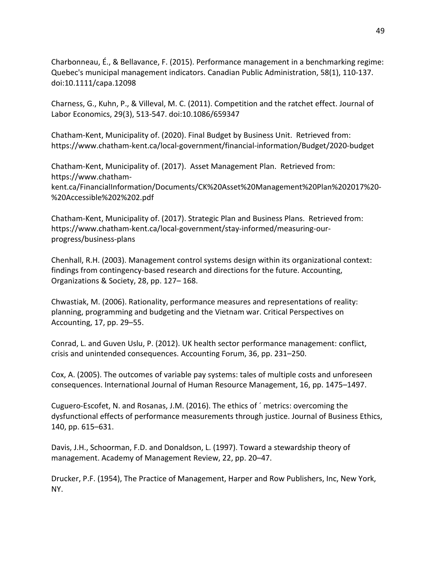Charbonneau, É., & Bellavance, F. (2015). Performance management in a benchmarking regime: Quebec's municipal management indicators. Canadian Public Administration, 58(1), 110-137. doi:10.1111/capa.12098

Charness, G., Kuhn, P., & Villeval, M. C. (2011). Competition and the ratchet effect. Journal of Labor Economics, 29(3), 513-547. doi:10.1086/659347

Chatham-Kent, Municipality of. (2020). Final Budget by Business Unit. Retrieved from: <https://www.chatham-kent.ca/local-government/financial-information/Budget/2020-budget>

Chatham-Kent, Municipality of. (2017). Asset Management Plan. Retrieved from: [https://www.chatham](https://www.chatham-kent.ca/FinancialInformation/Documents/CK%20Asset%20Management%20Plan%202017%20-%20Accessible%202%202.pdf)[kent.ca/FinancialInformation/Documents/CK%20Asset%20Management%20Plan%202017%20-](https://www.chatham-kent.ca/FinancialInformation/Documents/CK%20Asset%20Management%20Plan%202017%20-%20Accessible%202%202.pdf) [%20Accessible%202%202.pdf](https://www.chatham-kent.ca/FinancialInformation/Documents/CK%20Asset%20Management%20Plan%202017%20-%20Accessible%202%202.pdf)

Chatham-Kent, Municipality of. (2017). Strategic Plan and Business Plans. Retrieved from: [https://www.chatham-kent.ca/local-government/stay-informed/measuring-our](https://www.chatham-kent.ca/local-government/stay-informed/measuring-our-progress/business-plans)[progress/business-plans](https://www.chatham-kent.ca/local-government/stay-informed/measuring-our-progress/business-plans)

Chenhall, R.H. (2003). Management control systems design within its organizational context: findings from contingency-based research and directions for the future. Accounting, Organizations & Society, 28, pp. 127– 168.

Chwastiak, M. (2006). Rationality, performance measures and representations of reality: planning, programming and budgeting and the Vietnam war. Critical Perspectives on Accounting, 17, pp. 29–55.

Conrad, L. and Guven Uslu, P. (2012). UK health sector performance management: conflict, crisis and unintended consequences. Accounting Forum, 36, pp. 231–250.

Cox, A. (2005). The outcomes of variable pay systems: tales of multiple costs and unforeseen consequences. International Journal of Human Resource Management, 16, pp. 1475–1497.

Cuguero-Escofet, N. and Rosanas, J.M. (2016). The ethics of ´ metrics: overcoming the dysfunctional effects of performance measurements through justice. Journal of Business Ethics, 140, pp. 615–631.

Davis, J.H., Schoorman, F.D. and Donaldson, L. (1997). Toward a stewardship theory of management. Academy of Management Review, 22, pp. 20–47.

Drucker, P.F. (1954), The Practice of Management, Harper and Row Publishers, Inc, New York, NY.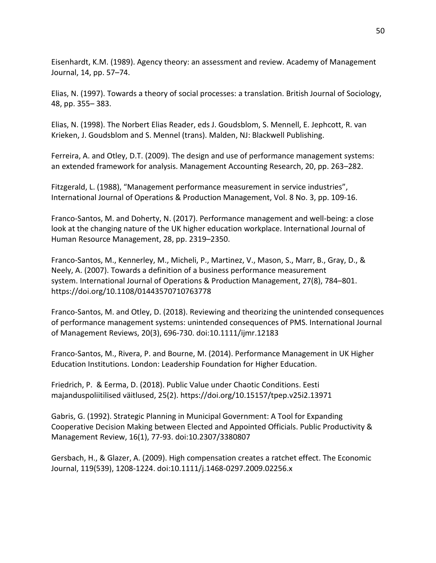Eisenhardt, K.M. (1989). Agency theory: an assessment and review. Academy of Management Journal, 14, pp. 57–74.

Elias, N. (1997). Towards a theory of social processes: a translation. British Journal of Sociology, 48, pp. 355– 383.

Elias, N. (1998). The Norbert Elias Reader, eds J. Goudsblom, S. Mennell, E. Jephcott, R. van Krieken, J. Goudsblom and S. Mennel (trans). Malden, NJ: Blackwell Publishing.

Ferreira, A. and Otley, D.T. (2009). The design and use of performance management systems: an extended framework for analysis. Management Accounting Research, 20, pp. 263–282.

Fitzgerald, L. (1988), "Management performance measurement in service industries", International Journal of Operations & Production Management, Vol. 8 No. 3, pp. 109-16.

Franco-Santos, M. and Doherty, N. (2017). Performance management and well-being: a close look at the changing nature of the UK higher education workplace. International Journal of Human Resource Management, 28, pp. 2319–2350.

Franco-Santos, M., Kennerley, M., Micheli, P., Martinez, V., Mason, S., Marr, B., Gray, D., & Neely, A. (2007). Towards a definition of a business performance measurement system. International Journal of Operations & Production Management, 27(8), 784–801. https://doi.org/10.1108/01443570710763778

Franco-Santos, M. and Otley, D. (2018). Reviewing and theorizing the unintended consequences of performance management systems: unintended consequences of PMS. International Journal of Management Reviews, 20(3), 696-730. doi:10.1111/ijmr.12183

Franco-Santos, M., Rivera, P. and Bourne, M. (2014). Performance Management in UK Higher Education Institutions. London: Leadership Foundation for Higher Education.

Friedrich, P. & Eerma, D. (2018). Public Value under Chaotic Conditions. Eesti majanduspoliitilised väitlused, 25(2). https://doi.org/10.15157/tpep.v25i2.13971

Gabris, G. (1992). Strategic Planning in Municipal Government: A Tool for Expanding Cooperative Decision Making between Elected and Appointed Officials. Public Productivity & Management Review, 16(1), 77-93. doi:10.2307/3380807

Gersbach, H., & Glazer, A. (2009). High compensation creates a ratchet effect. The Economic Journal, 119(539), 1208-1224. doi:10.1111/j.1468-0297.2009.02256.x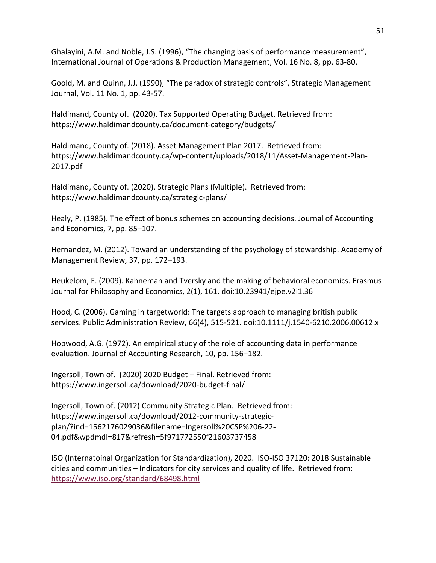Ghalayini, A.M. and Noble, J.S. (1996), "The changing basis of performance measurement", International Journal of Operations & Production Management, Vol. 16 No. 8, pp. 63-80.

Goold, M. and Quinn, J.J. (1990), "The paradox of strategic controls", Strategic Management Journal, Vol. 11 No. 1, pp. 43-57.

Haldimand, County of. (2020). Tax Supported Operating Budget. Retrieved from: <https://www.haldimandcounty.ca/document-category/budgets/>

Haldimand, County of. (2018). Asset Management Plan 2017. Retrieved from: [https://www.haldimandcounty.ca/wp-content/uploads/2018/11/Asset-Management-Plan-](https://www.haldimandcounty.ca/wp-content/uploads/2018/11/Asset-Management-Plan-2017.pdf)[2017.pdf](https://www.haldimandcounty.ca/wp-content/uploads/2018/11/Asset-Management-Plan-2017.pdf)

Haldimand, County of. (2020). Strategic Plans (Multiple). Retrieved from: <https://www.haldimandcounty.ca/strategic-plans/>

Healy, P. (1985). The effect of bonus schemes on accounting decisions. Journal of Accounting and Economics, 7, pp. 85–107.

Hernandez, M. (2012). Toward an understanding of the psychology of stewardship. Academy of Management Review, 37, pp. 172–193.

Heukelom, F. (2009). Kahneman and Tversky and the making of behavioral economics. Erasmus Journal for Philosophy and Economics, 2(1), 161. doi:10.23941/ejpe.v2i1.36

Hood, C. (2006). Gaming in targetworld: The targets approach to managing british public services. Public Administration Review, 66(4), 515-521. doi:10.1111/j.1540-6210.2006.00612.x

Hopwood, A.G. (1972). An empirical study of the role of accounting data in performance evaluation. Journal of Accounting Research, 10, pp. 156–182.

Ingersoll, Town of. (2020) 2020 Budget – Final. Retrieved from: <https://www.ingersoll.ca/download/2020-budget-final/>

Ingersoll, Town of. (2012) Community Strategic Plan. Retrieved from: [https://www.ingersoll.ca/download/2012-community-strategic](https://www.ingersoll.ca/download/2012-community-strategic-plan/?ind=1562176029036&filename=Ingersoll%20CSP%206-22-04.pdf&wpdmdl=817&refresh=5f971772550f21603737458)[plan/?ind=1562176029036&filename=Ingersoll%20CSP%206-22-](https://www.ingersoll.ca/download/2012-community-strategic-plan/?ind=1562176029036&filename=Ingersoll%20CSP%206-22-04.pdf&wpdmdl=817&refresh=5f971772550f21603737458) [04.pdf&wpdmdl=817&refresh=5f971772550f21603737458](https://www.ingersoll.ca/download/2012-community-strategic-plan/?ind=1562176029036&filename=Ingersoll%20CSP%206-22-04.pdf&wpdmdl=817&refresh=5f971772550f21603737458)

ISO (Internatoinal Organization for Standardization), 2020. ISO-ISO 37120: 2018 Sustainable cities and communities – Indicators for city services and quality of life. Retrieved from: <https://www.iso.org/standard/68498.html>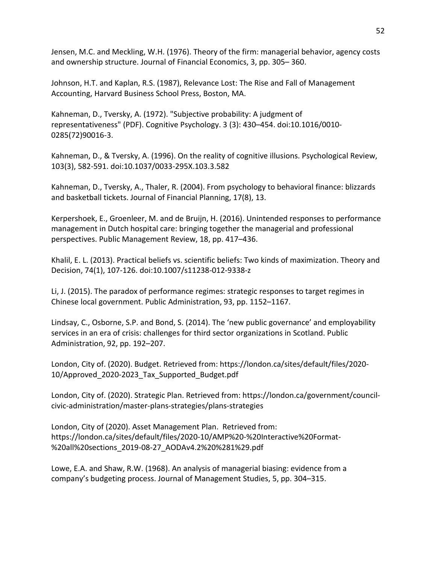Jensen, M.C. and Meckling, W.H. (1976). Theory of the firm: managerial behavior, agency costs and ownership structure. Journal of Financial Economics, 3, pp. 305– 360.

Johnson, H.T. and Kaplan, R.S. (1987), Relevance Lost: The Rise and Fall of Management Accounting, Harvard Business School Press, Boston, MA.

Kahneman, D., Tversky, A. (1972). ["Subjective probability: A judgment of](http://datacolada.org/wp-content/uploads/2014/08/Kahneman-Tversky-1972.pdf)  [representativeness"](http://datacolada.org/wp-content/uploads/2014/08/Kahneman-Tversky-1972.pdf) (PDF). Cognitive Psychology. 3 (3): 430–454. [doi:](https://en.wikipedia.org/wiki/Doi_(identifier))[10.1016/0010-](https://doi.org/10.1016%2F0010-0285%2872%2990016-3) [0285\(72\)90016-3.](https://doi.org/10.1016%2F0010-0285%2872%2990016-3)

Kahneman, D., & Tversky, A. (1996). On the reality of cognitive illusions. Psychological Review, 103(3), 582-591. doi:10.1037/0033-295X.103.3.582

Kahneman, D., Tversky, A., Thaler, R. (2004). From psychology to behavioral finance: blizzards and basketball tickets. Journal of Financial Planning, 17(8), 13.

Kerpershoek, E., Groenleer, M. and de Bruijn, H. (2016). Unintended responses to performance management in Dutch hospital care: bringing together the managerial and professional perspectives. Public Management Review, 18, pp. 417–436.

Khalil, E. L. (2013). Practical beliefs vs. scientific beliefs: Two kinds of maximization. Theory and Decision, 74(1), 107-126. doi:10.1007/s11238-012-9338-z

Li, J. (2015). The paradox of performance regimes: strategic responses to target regimes in Chinese local government. Public Administration, 93, pp. 1152–1167.

Lindsay, C., Osborne, S.P. and Bond, S. (2014). The 'new public governance' and employability services in an era of crisis: challenges for third sector organizations in Scotland. Public Administration, 92, pp. 192–207.

London, City of. (2020). Budget. Retrieved from[: https://london.ca/sites/default/files/2020-](https://london.ca/sites/default/files/2020-10/Approved_2020-2023_Tax_Supported_Budget.pdf) [10/Approved\\_2020-2023\\_Tax\\_Supported\\_Budget.pdf](https://london.ca/sites/default/files/2020-10/Approved_2020-2023_Tax_Supported_Budget.pdf)

London, City of. (2020). Strategic Plan. Retrieved from[: https://london.ca/government/council](https://london.ca/government/council-civic-administration/master-plans-strategies/plans-strategies)[civic-administration/master-plans-strategies/plans-strategies](https://london.ca/government/council-civic-administration/master-plans-strategies/plans-strategies)

London, City of (2020). Asset Management Plan. Retrieved from: [https://london.ca/sites/default/files/2020-10/AMP%20-%20Interactive%20Format-](https://london.ca/sites/default/files/2020-10/AMP%20-%20Interactive%20Format-%20all%20sections_2019-08-27_AODAv4.2%20%281%29.pdf) [%20all%20sections\\_2019-08-27\\_AODAv4.2%20%281%29.pdf](https://london.ca/sites/default/files/2020-10/AMP%20-%20Interactive%20Format-%20all%20sections_2019-08-27_AODAv4.2%20%281%29.pdf)

Lowe, E.A. and Shaw, R.W. (1968). An analysis of managerial biasing: evidence from a company's budgeting process. Journal of Management Studies, 5, pp. 304–315.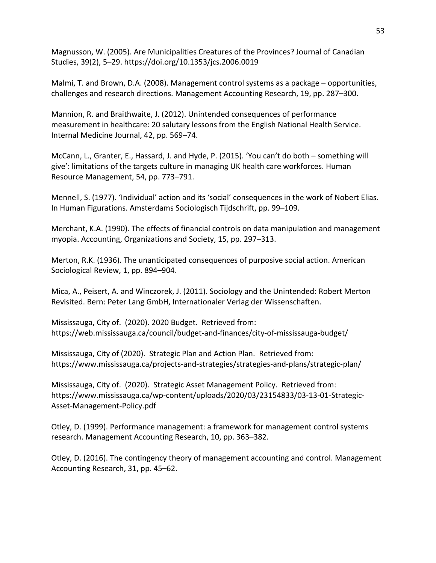Magnusson, W. (2005). Are Municipalities Creatures of the Provinces? Journal of Canadian Studies, 39(2), 5–29.<https://doi.org/10.1353/jcs.2006.0019>

Malmi, T. and Brown, D.A. (2008). Management control systems as a package – opportunities, challenges and research directions. Management Accounting Research, 19, pp. 287–300.

Mannion, R. and Braithwaite, J. (2012). Unintended consequences of performance measurement in healthcare: 20 salutary lessons from the English National Health Service. Internal Medicine Journal, 42, pp. 569–74.

McCann, L., Granter, E., Hassard, J. and Hyde, P. (2015). 'You can't do both – something will give': limitations of the targets culture in managing UK health care workforces. Human Resource Management, 54, pp. 773–791.

Mennell, S. (1977). 'Individual' action and its 'social' consequences in the work of Nobert Elias. In Human Figurations. Amsterdams Sociologisch Tijdschrift, pp. 99–109.

Merchant, K.A. (1990). The effects of financial controls on data manipulation and management myopia. Accounting, Organizations and Society, 15, pp. 297–313.

Merton, R.K. (1936). The unanticipated consequences of purposive social action. American Sociological Review, 1, pp. 894–904.

Mica, A., Peisert, A. and Winczorek, J. (2011). Sociology and the Unintended: Robert Merton Revisited. Bern: Peter Lang GmbH, Internationaler Verlag der Wissenschaften.

Mississauga, City of. (2020). 2020 Budget. Retrieved from: <https://web.mississauga.ca/council/budget-and-finances/city-of-mississauga-budget/>

Mississauga, City of (2020). Strategic Plan and Action Plan. Retrieved from: <https://www.mississauga.ca/projects-and-strategies/strategies-and-plans/strategic-plan/>

Mississauga, City of. (2020). Strategic Asset Management Policy. Retrieved from: [https://www.mississauga.ca/wp-content/uploads/2020/03/23154833/03-13-01-Strategic-](https://www.mississauga.ca/wp-content/uploads/2020/03/23154833/03-13-01-Strategic-Asset-Management-Policy.pdf)[Asset-Management-Policy.pdf](https://www.mississauga.ca/wp-content/uploads/2020/03/23154833/03-13-01-Strategic-Asset-Management-Policy.pdf)

Otley, D. (1999). Performance management: a framework for management control systems research. Management Accounting Research, 10, pp. 363–382.

Otley, D. (2016). The contingency theory of management accounting and control. Management Accounting Research, 31, pp. 45–62.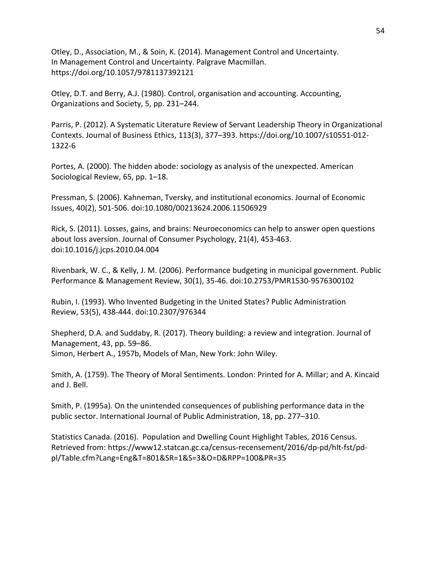Otley, D., Association, M., & Soin, K. (2014). Management Control and Uncertainty. In Management Control and Uncertainty. Palgrave Macmillan. https://doi.org/10.1057/9781137392121

Otley, D.T. and Berry, A.J. (1980). Control, organisation and accounting. Accounting, Organizations and Society, 5, pp. 231–244.

Parris, P. (2012). A Systematic Literature Review of Servant Leadership Theory in Organizational Contexts. Journal of Business Ethics, 113(3), 377–393. https://doi.org/10.1007/s10551-012- 1322-6

Portes, A. (2000). The hidden abode: sociology as analysis of the unexpected. American Sociological Review, 65, pp. 1–18.

Pressman, S. (2006). Kahneman, Tversky, and institutional economics. Journal of Economic Issues, 40(2), 501-506. doi:10.1080/00213624.2006.11506929

Rick, S. (2011). Losses, gains, and brains: Neuroeconomics can help to answer open questions about loss aversion. Journal of Consumer Psychology, 21(4), 453-463. doi:10.1016/j.jcps.2010.04.004

Rivenbark, W. C., & Kelly, J. M. (2006). Performance budgeting in municipal government. Public Performance & Management Review, 30(1), 35-46. doi:10.2753/PMR1530-9576300102

Rubin, I. (1993). Who Invented Budgeting in the United States? Public Administration Review, 53(5), 438-444. doi:10.2307/976344

Shepherd, D.A. and Suddaby, R. (2017). Theory building: a review and integration. Journal of Management, 43, pp. 59–86. Simon, Herbert A., 1957b, Models of Man, New York: John Wiley.

Smith, A. (1759). The Theory of Moral Sentiments. London: Printed for A. Millar; and A. Kincaid and J. Bell.

Smith, P. (1995a). On the unintended consequences of publishing performance data in the public sector. International Journal of Public Administration, 18, pp. 277–310.

Statistics Canada. (2016). Population and Dwelling Count Highlight Tables, 2016 Census. Retrieved from: [https://www12.statcan.gc.ca/census-recensement/2016/dp-pd/hlt-fst/pd](https://www12.statcan.gc.ca/census-recensement/2016/dp-pd/hlt-fst/pd-pl/Table.cfm?Lang=Eng&T=801&SR=1&S=3&O=D&RPP=100&PR=35)[pl/Table.cfm?Lang=Eng&T=801&SR=1&S=3&O=D&RPP=100&PR=35](https://www12.statcan.gc.ca/census-recensement/2016/dp-pd/hlt-fst/pd-pl/Table.cfm?Lang=Eng&T=801&SR=1&S=3&O=D&RPP=100&PR=35)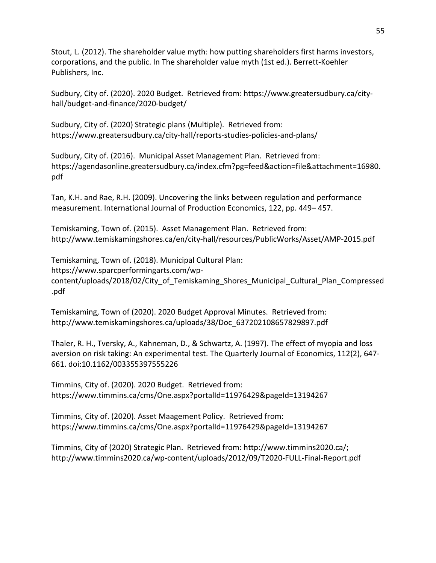Stout, L. (2012). The shareholder value myth: how putting shareholders first harms investors, corporations, and the public. In The shareholder value myth (1st ed.). Berrett-Koehler Publishers, Inc.

Sudbury, City of. (2020). 2020 Budget. Retrieved from: [https://www.greatersudbury.ca/city](https://www.greatersudbury.ca/city-hall/budget-and-finance/2020-budget/)[hall/budget-and-finance/2020-budget/](https://www.greatersudbury.ca/city-hall/budget-and-finance/2020-budget/)

Sudbury, City of. (2020) Strategic plans (Multiple). Retrieved from: <https://www.greatersudbury.ca/city-hall/reports-studies-policies-and-plans/>

Sudbury, City of. (2016). Municipal Asset Management Plan. Retrieved from: [https://agendasonline.greatersudbury.ca/index.cfm?pg=feed&action=file&attachment=16980.](https://agendasonline.greatersudbury.ca/index.cfm?pg=feed&action=file&attachment=16980.pdf) [pdf](https://agendasonline.greatersudbury.ca/index.cfm?pg=feed&action=file&attachment=16980.pdf)

Tan, K.H. and Rae, R.H. (2009). Uncovering the links between regulation and performance measurement. International Journal of Production Economics, 122, pp. 449– 457.

Temiskaming, Town of. (2015). Asset Management Plan. Retrieved from: <http://www.temiskamingshores.ca/en/city-hall/resources/PublicWorks/Asset/AMP-2015.pdf>

Temiskaming, Town of. (2018). Municipal Cultural Plan: [https://www.sparcperformingarts.com/wp](https://www.sparcperformingarts.com/wp-content/uploads/2018/02/City_of_Temiskaming_Shores_Municipal_Cultural_Plan_Compressed.pdf)content/uploads/2018/02/City of Temiskaming Shores Municipal Cultural Plan Compressed [.pdf](https://www.sparcperformingarts.com/wp-content/uploads/2018/02/City_of_Temiskaming_Shores_Municipal_Cultural_Plan_Compressed.pdf)

Temiskaming, Town of (2020). 2020 Budget Approval Minutes. Retrieved from: [http://www.temiskamingshores.ca/uploads/38/Doc\\_637202108657829897.pdf](http://www.temiskamingshores.ca/uploads/38/Doc_637202108657829897.pdf)

Thaler, R. H., Tversky, A., Kahneman, D., & Schwartz, A. (1997). The effect of myopia and loss aversion on risk taking: An experimental test. The Quarterly Journal of Economics, 112(2), 647- 661. doi:10.1162/003355397555226

Timmins, City of. (2020). 2020 Budget. Retrieved from: <https://www.timmins.ca/cms/One.aspx?portalId=11976429&pageId=13194267>

Timmins, City of. (2020). Asset Maagement Policy. Retrieved from: <https://www.timmins.ca/cms/One.aspx?portalId=11976429&pageId=13194267>

Timmins, City of (2020) Strategic Plan. Retrieved from: [http://www.timmins2020.ca/;](http://www.timmins2020.ca/) <http://www.timmins2020.ca/wp-content/uploads/2012/09/T2020-FULL-Final-Report.pdf>